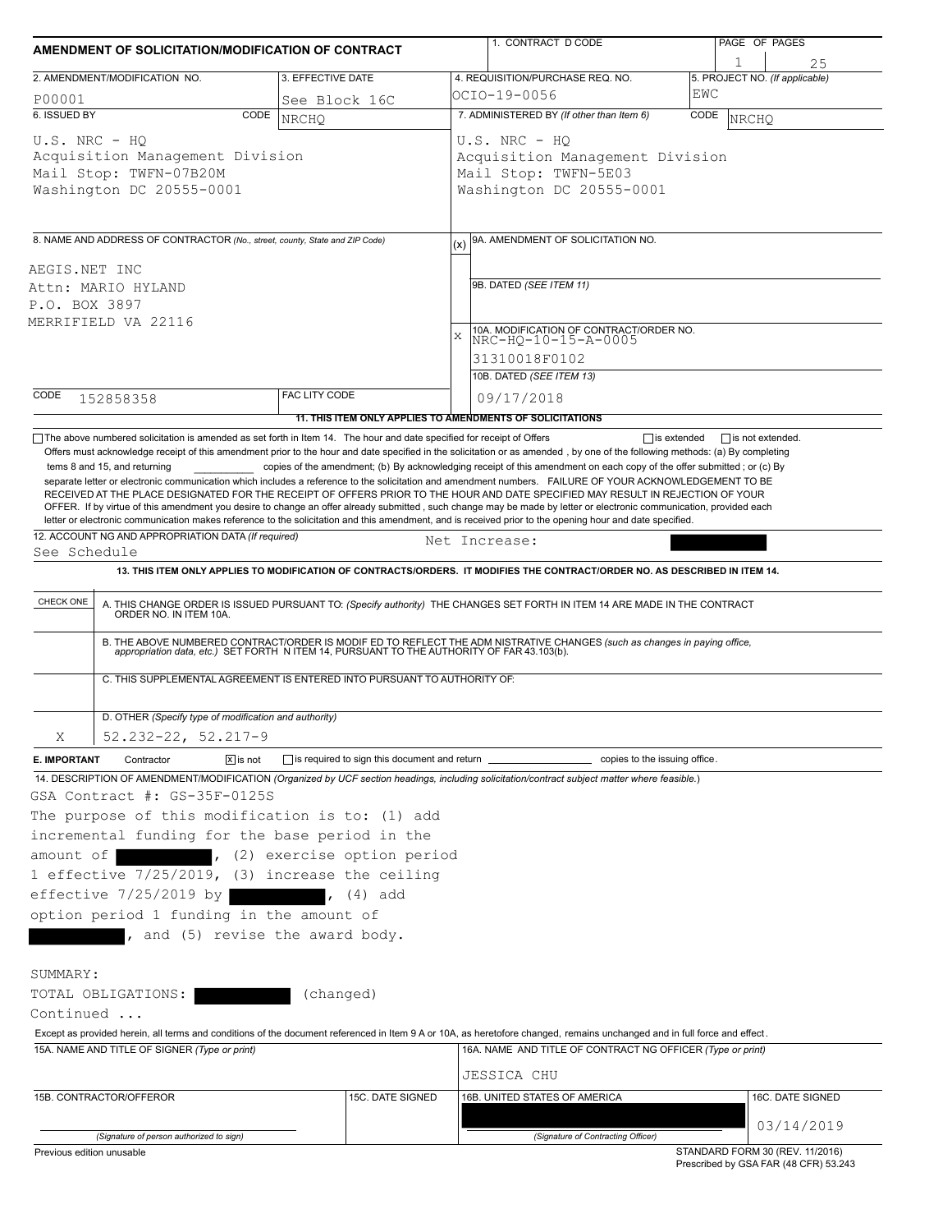|                                                                                                          | AMENDMENT OF SOLICITATION/MODIFICATION OF CONTRACT                                                                                                                                                                                                                                                                                                                          |                   |                                                                                                                  |  | 1. CONTRACT D CODE                                                                                                                                                                                                                                                                                                                                                                                                                                                                                                                                                                                                                                                                                                                                                                                                                                                                                                                      |      | PAGE OF PAGES                             |  |
|----------------------------------------------------------------------------------------------------------|-----------------------------------------------------------------------------------------------------------------------------------------------------------------------------------------------------------------------------------------------------------------------------------------------------------------------------------------------------------------------------|-------------------|------------------------------------------------------------------------------------------------------------------|--|-----------------------------------------------------------------------------------------------------------------------------------------------------------------------------------------------------------------------------------------------------------------------------------------------------------------------------------------------------------------------------------------------------------------------------------------------------------------------------------------------------------------------------------------------------------------------------------------------------------------------------------------------------------------------------------------------------------------------------------------------------------------------------------------------------------------------------------------------------------------------------------------------------------------------------------------|------|-------------------------------------------|--|
|                                                                                                          | 2. AMENDMENT/MODIFICATION NO.                                                                                                                                                                                                                                                                                                                                               | 3. EFFECTIVE DATE |                                                                                                                  |  | 4. REQUISITION/PURCHASE REQ. NO.                                                                                                                                                                                                                                                                                                                                                                                                                                                                                                                                                                                                                                                                                                                                                                                                                                                                                                        |      | 1<br>25<br>5. PROJECT NO. (If applicable) |  |
| P00001                                                                                                   |                                                                                                                                                                                                                                                                                                                                                                             | See Block 16C     |                                                                                                                  |  | OCIO-19-0056                                                                                                                                                                                                                                                                                                                                                                                                                                                                                                                                                                                                                                                                                                                                                                                                                                                                                                                            | EWC  |                                           |  |
| 6. ISSUED BY                                                                                             | CODE                                                                                                                                                                                                                                                                                                                                                                        | <b>NRCHO</b>      |                                                                                                                  |  | 7. ADMINISTERED BY (If other than Item 6)                                                                                                                                                                                                                                                                                                                                                                                                                                                                                                                                                                                                                                                                                                                                                                                                                                                                                               | CODE | <b>NRCHO</b>                              |  |
| $U.S. NRC - HO$<br>Acquisition Management Division<br>Mail Stop: TWFN-07B20M<br>Washington DC 20555-0001 |                                                                                                                                                                                                                                                                                                                                                                             |                   | $U.S. NRC - HO$<br>Acquisition Management Division<br>Mail Stop: TWFN-5E03<br>Washington DC 20555-0001           |  |                                                                                                                                                                                                                                                                                                                                                                                                                                                                                                                                                                                                                                                                                                                                                                                                                                                                                                                                         |      |                                           |  |
|                                                                                                          | 8. NAME AND ADDRESS OF CONTRACTOR (No., street, county, State and ZIP Code)                                                                                                                                                                                                                                                                                                 |                   |                                                                                                                  |  | 9A. AMENDMENT OF SOLICITATION NO.                                                                                                                                                                                                                                                                                                                                                                                                                                                                                                                                                                                                                                                                                                                                                                                                                                                                                                       |      |                                           |  |
| AEGIS.NET INC                                                                                            |                                                                                                                                                                                                                                                                                                                                                                             |                   |                                                                                                                  |  |                                                                                                                                                                                                                                                                                                                                                                                                                                                                                                                                                                                                                                                                                                                                                                                                                                                                                                                                         |      |                                           |  |
|                                                                                                          | Attn: MARIO HYLAND                                                                                                                                                                                                                                                                                                                                                          |                   |                                                                                                                  |  | 9B. DATED (SEE ITEM 11)                                                                                                                                                                                                                                                                                                                                                                                                                                                                                                                                                                                                                                                                                                                                                                                                                                                                                                                 |      |                                           |  |
| P.O. BOX 3897                                                                                            |                                                                                                                                                                                                                                                                                                                                                                             |                   |                                                                                                                  |  |                                                                                                                                                                                                                                                                                                                                                                                                                                                                                                                                                                                                                                                                                                                                                                                                                                                                                                                                         |      |                                           |  |
| MERRIFIELD VA 22116                                                                                      |                                                                                                                                                                                                                                                                                                                                                                             |                   | 10A. MODIFICATION OF CONTRACT/ORDER NO.<br>X<br>NRC-HQ-10-15-A-0005<br>31310018F0102<br>10B. DATED (SEE ITEM 13) |  |                                                                                                                                                                                                                                                                                                                                                                                                                                                                                                                                                                                                                                                                                                                                                                                                                                                                                                                                         |      |                                           |  |
| CODE                                                                                                     | 152858358                                                                                                                                                                                                                                                                                                                                                                   | FAC LITY CODE     |                                                                                                                  |  | 09/17/2018                                                                                                                                                                                                                                                                                                                                                                                                                                                                                                                                                                                                                                                                                                                                                                                                                                                                                                                              |      |                                           |  |
|                                                                                                          |                                                                                                                                                                                                                                                                                                                                                                             |                   |                                                                                                                  |  | 11. THIS ITEM ONLY APPLIES TO AMENDMENTS OF SOLICITATIONS                                                                                                                                                                                                                                                                                                                                                                                                                                                                                                                                                                                                                                                                                                                                                                                                                                                                               |      |                                           |  |
|                                                                                                          | tems 8 and 15, and returning                                                                                                                                                                                                                                                                                                                                                |                   |                                                                                                                  |  | Offers must acknowledge receipt of this amendment prior to the hour and date specified in the solicitation or as amended, by one of the following methods: (a) By completing<br>copies of the amendment; (b) By acknowledging receipt of this amendment on each copy of the offer submitted; or (c) By<br>separate letter or electronic communication which includes a reference to the solicitation and amendment numbers. FAILURE OF YOUR ACKNOWLEDGEMENT TO BE<br>RECEIVED AT THE PLACE DESIGNATED FOR THE RECEIPT OF OFFERS PRIOR TO THE HOUR AND DATE SPECIFIED MAY RESULT IN REJECTION OF YOUR<br>OFFER. If by virtue of this amendment you desire to change an offer already submitted, such change may be made by letter or electronic communication, provided each<br>letter or electronic communication makes reference to the solicitation and this amendment, and is received prior to the opening hour and date specified. |      |                                           |  |
| See Schedule                                                                                             | 12. ACCOUNT NG AND APPROPRIATION DATA (If required)                                                                                                                                                                                                                                                                                                                         |                   |                                                                                                                  |  | Net Increase:                                                                                                                                                                                                                                                                                                                                                                                                                                                                                                                                                                                                                                                                                                                                                                                                                                                                                                                           |      |                                           |  |
|                                                                                                          |                                                                                                                                                                                                                                                                                                                                                                             |                   |                                                                                                                  |  | 13. THIS ITEM ONLY APPLIES TO MODIFICATION OF CONTRACTS/ORDERS. IT MODIFIES THE CONTRACT/ORDER NO. AS DESCRIBED IN ITEM 14.                                                                                                                                                                                                                                                                                                                                                                                                                                                                                                                                                                                                                                                                                                                                                                                                             |      |                                           |  |
| CHECK ONE                                                                                                | C. THIS SUPPLEMENTAL AGREEMENT IS ENTERED INTO PURSUANT TO AUTHORITY OF:                                                                                                                                                                                                                                                                                                    |                   |                                                                                                                  |  | A. THIS CHANGE ORDER IS ISSUED PURSUANT TO: (Specify authority) THE CHANGES SET FORTH IN ITEM 14 ARE MADE IN THE CONTRACT ORDER NO. IN ITEM 10A.<br>B. THE ABOVE NUMBERED CONTRACT/ORDER IS MODIF ED TO REFLECT THE ADM NISTRATIVE CHANGES (such as changes in paying office,<br>appropriation data, etc.) SET FORTH NITEM 14, PURSUANT TO THE AUTHORITY OF FAR 43.103(b).                                                                                                                                                                                                                                                                                                                                                                                                                                                                                                                                                              |      |                                           |  |
|                                                                                                          | D. OTHER (Specify type of modification and authority)                                                                                                                                                                                                                                                                                                                       |                   |                                                                                                                  |  |                                                                                                                                                                                                                                                                                                                                                                                                                                                                                                                                                                                                                                                                                                                                                                                                                                                                                                                                         |      |                                           |  |
| Χ                                                                                                        | $52.232 - 22, 52.217 - 9$                                                                                                                                                                                                                                                                                                                                                   |                   |                                                                                                                  |  |                                                                                                                                                                                                                                                                                                                                                                                                                                                                                                                                                                                                                                                                                                                                                                                                                                                                                                                                         |      |                                           |  |
| <b>E. IMPORTANT</b><br>amount of                                                                         | $\boxed{\mathsf{x}}$ is not<br>Contractor<br>GSA Contract #: GS-35F-0125S<br>The purpose of this modification is to: (1) add<br>incremental funding for the base period in the<br>, (2) exercise option period<br>1 effective 7/25/2019, (3) increase the ceiling<br>effective 7/25/2019 by<br>option period 1 funding in the amount of<br>, and (5) revise the award body. |                   | $\Box$ is required to sign this document and return<br>$(4)$ add                                                 |  | copies to the issuing office.<br>14. DESCRIPTION OF AMENDMENT/MODIFICATION (Organized by UCF section headings, including solicitation/contract subject matter where feasible.)                                                                                                                                                                                                                                                                                                                                                                                                                                                                                                                                                                                                                                                                                                                                                          |      |                                           |  |
| SUMMARY:<br>Continued                                                                                    | TOTAL OBLIGATIONS:                                                                                                                                                                                                                                                                                                                                                          | (changed)         |                                                                                                                  |  |                                                                                                                                                                                                                                                                                                                                                                                                                                                                                                                                                                                                                                                                                                                                                                                                                                                                                                                                         |      |                                           |  |
|                                                                                                          | 15A. NAME AND TITLE OF SIGNER (Type or print)                                                                                                                                                                                                                                                                                                                               |                   |                                                                                                                  |  | Except as provided herein, all terms and conditions of the document referenced in Item 9 A or 10A, as heretofore changed, remains unchanged and in full force and effect.<br>16A. NAME AND TITLE OF CONTRACT NG OFFICER (Type or print)                                                                                                                                                                                                                                                                                                                                                                                                                                                                                                                                                                                                                                                                                                 |      |                                           |  |
|                                                                                                          |                                                                                                                                                                                                                                                                                                                                                                             |                   |                                                                                                                  |  | JESSICA CHU                                                                                                                                                                                                                                                                                                                                                                                                                                                                                                                                                                                                                                                                                                                                                                                                                                                                                                                             |      |                                           |  |
|                                                                                                          | 15B. CONTRACTOR/OFFEROR                                                                                                                                                                                                                                                                                                                                                     |                   | 15C. DATE SIGNED                                                                                                 |  | 16B. UNITED STATES OF AMERICA                                                                                                                                                                                                                                                                                                                                                                                                                                                                                                                                                                                                                                                                                                                                                                                                                                                                                                           |      | 16C. DATE SIGNED                          |  |
|                                                                                                          | (Signature of person authorized to sign)                                                                                                                                                                                                                                                                                                                                    |                   |                                                                                                                  |  | (Signature of Contracting Officer)                                                                                                                                                                                                                                                                                                                                                                                                                                                                                                                                                                                                                                                                                                                                                                                                                                                                                                      |      | 03/14/2019                                |  |
| Previous edition unusable                                                                                |                                                                                                                                                                                                                                                                                                                                                                             |                   |                                                                                                                  |  |                                                                                                                                                                                                                                                                                                                                                                                                                                                                                                                                                                                                                                                                                                                                                                                                                                                                                                                                         |      | STANDARD FORM 30 (REV. 11/2016)           |  |

Prescribed by GSA FAR (48 CFR) 53.243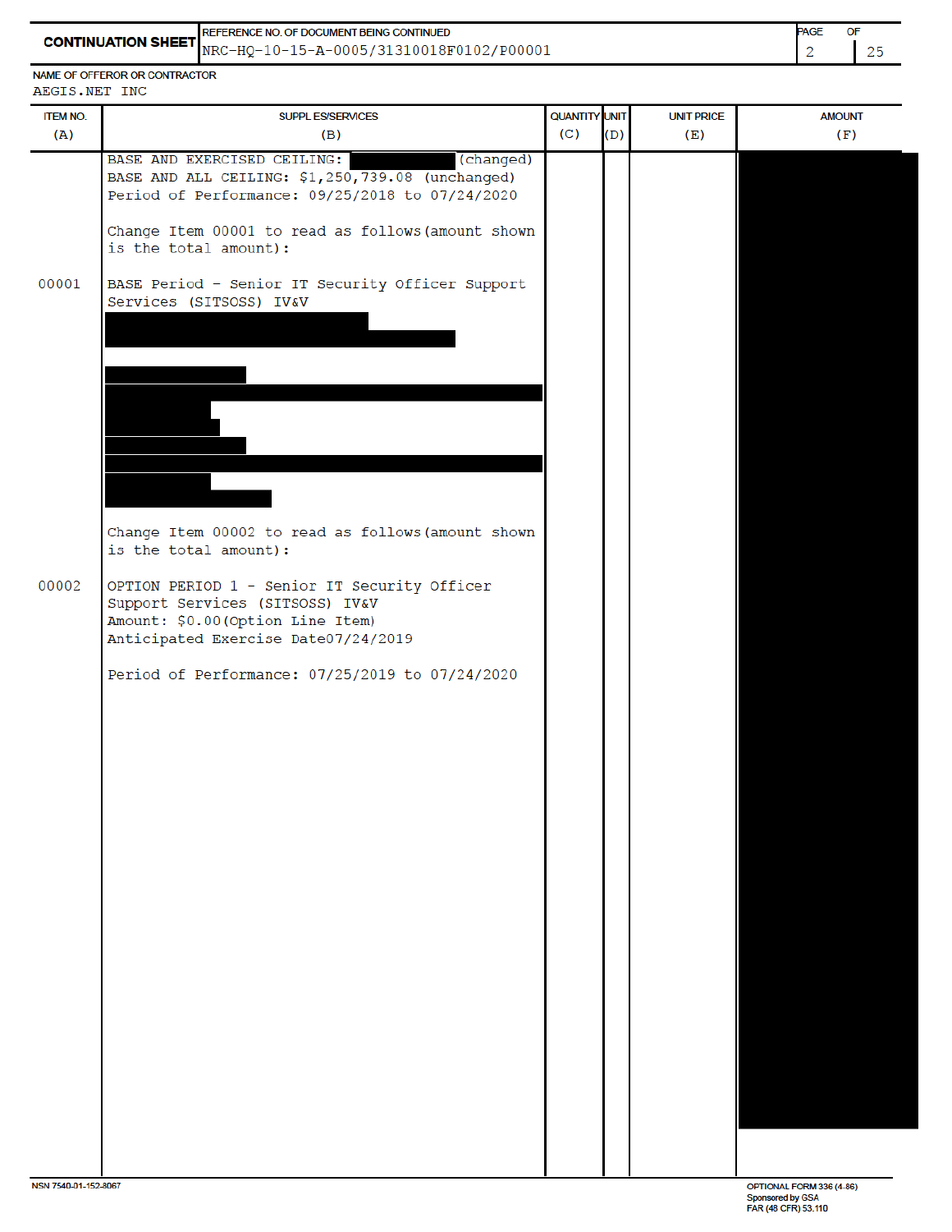#### REFERENCE NO. OF DOCUMENT BEING CONTINUED **PAGE**  $OF$ **CONTINUATION SHEET** NRC-HQ-10-15-A-0005/31310018F0102/P00001  $\overline{c}$ 25

NAME OF OFFEROR OR CONTRACTOR AEGIS.NET INC

| <b>ITEM NO.</b> | <b>SUPPL ES/SERVICES</b>                                                                                                                                    | <b>QUANTITY UNIT</b> |     | <b>UNIT PRICE</b> | <b>AMOUNT</b> |
|-----------------|-------------------------------------------------------------------------------------------------------------------------------------------------------------|----------------------|-----|-------------------|---------------|
| (A)             | (B)                                                                                                                                                         | (C)                  | (D) | (E)               | (F)           |
|                 | BASE AND EXERCISED CEILING:<br>(changed)<br>BASE AND ALL CEILING: \$1,250,739.08 (unchanged)<br>Period of Performance: 09/25/2018 to 07/24/2020             |                      |     |                   |               |
|                 | Change Item 00001 to read as follows (amount shown<br>is the total amount):                                                                                 |                      |     |                   |               |
| 00001           | BASE Period - Senior IT Security Officer Support<br>Services (SITSOSS) IV&V                                                                                 |                      |     |                   |               |
|                 |                                                                                                                                                             |                      |     |                   |               |
|                 |                                                                                                                                                             |                      |     |                   |               |
|                 |                                                                                                                                                             |                      |     |                   |               |
|                 | Change Item 00002 to read as follows (amount shown                                                                                                          |                      |     |                   |               |
|                 | is the total amount):                                                                                                                                       |                      |     |                   |               |
| 00002           | OPTION PERIOD 1 - Senior IT Security Officer<br>Support Services (SITSOSS) IV&V<br>Amount: \$0.00 (Option Line Item)<br>Anticipated Exercise Date07/24/2019 |                      |     |                   |               |
|                 | Period of Performance: 07/25/2019 to 07/24/2020                                                                                                             |                      |     |                   |               |
|                 |                                                                                                                                                             |                      |     |                   |               |
|                 |                                                                                                                                                             |                      |     |                   |               |
|                 |                                                                                                                                                             |                      |     |                   |               |
|                 |                                                                                                                                                             |                      |     |                   |               |
|                 |                                                                                                                                                             |                      |     |                   |               |
|                 |                                                                                                                                                             |                      |     |                   |               |
|                 |                                                                                                                                                             |                      |     |                   |               |
|                 |                                                                                                                                                             |                      |     |                   |               |
|                 |                                                                                                                                                             |                      |     |                   |               |
|                 |                                                                                                                                                             |                      |     |                   |               |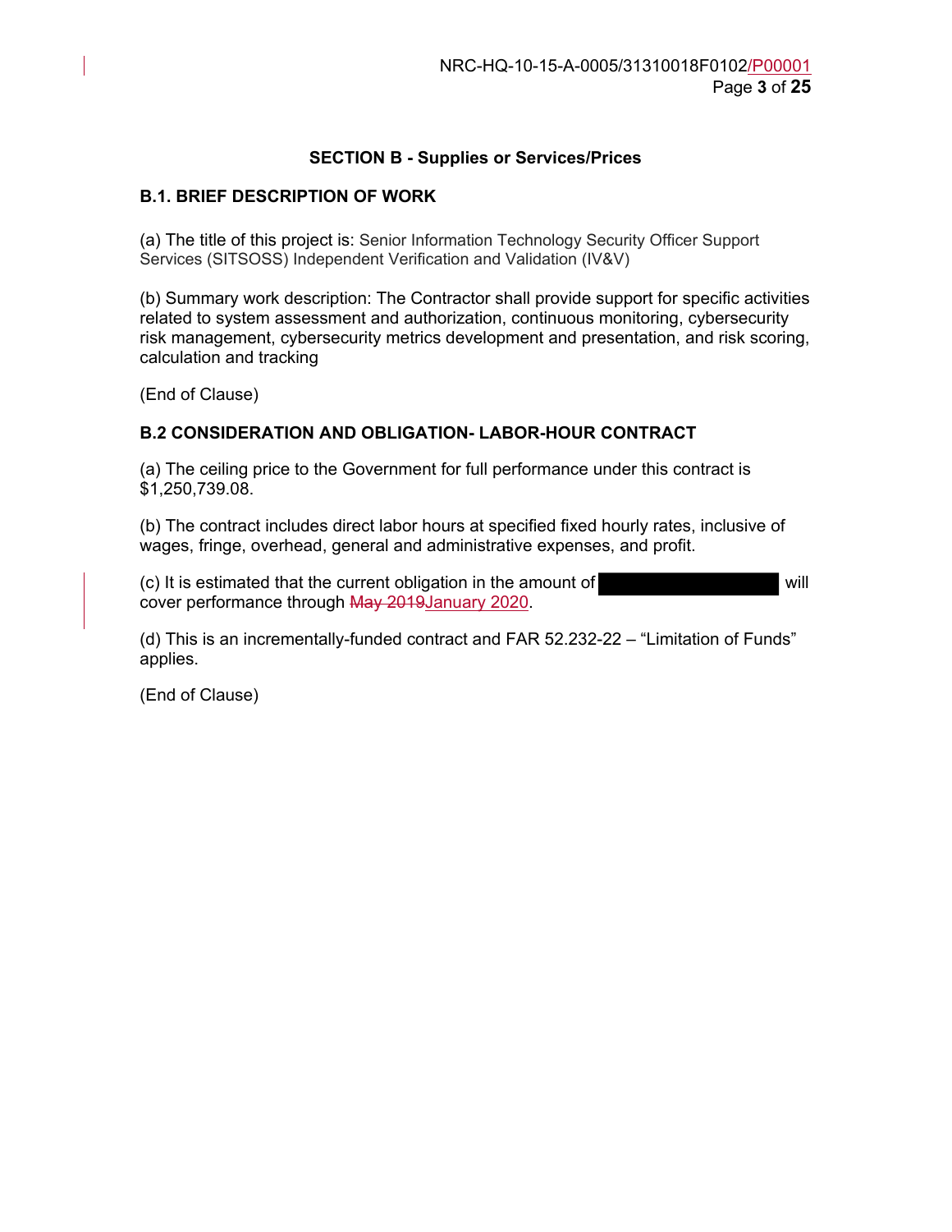## **SECTION B - Supplies or Services/Prices**

#### **B.1. BRIEF DESCRIPTION OF WORK**

(a) The title of this project is: Senior Information Technology Security Officer Support Services (SITSOSS) Independent Verification and Validation (IV&V)

(b) Summary work description: The Contractor shall provide support for specific activities related to system assessment and authorization, continuous monitoring, cybersecurity risk management, cybersecurity metrics development and presentation, and risk scoring, calculation and tracking

(End of Clause)

#### **B.2 CONSIDERATION AND OBLIGATION- LABOR-HOUR CONTRACT**

(a) The ceiling price to the Government for full performance under this contract is \$1,250,739.08.

(b) The contract includes direct labor hours at specified fixed hourly rates, inclusive of wages, fringe, overhead, general and administrative expenses, and profit.

(c) It is estimated that the current obligation in the amount of will cover performance through May 2019January 2020.

(d) This is an incrementally-funded contract and FAR 52.232-22 – "Limitation of Funds" applies.

(End of Clause)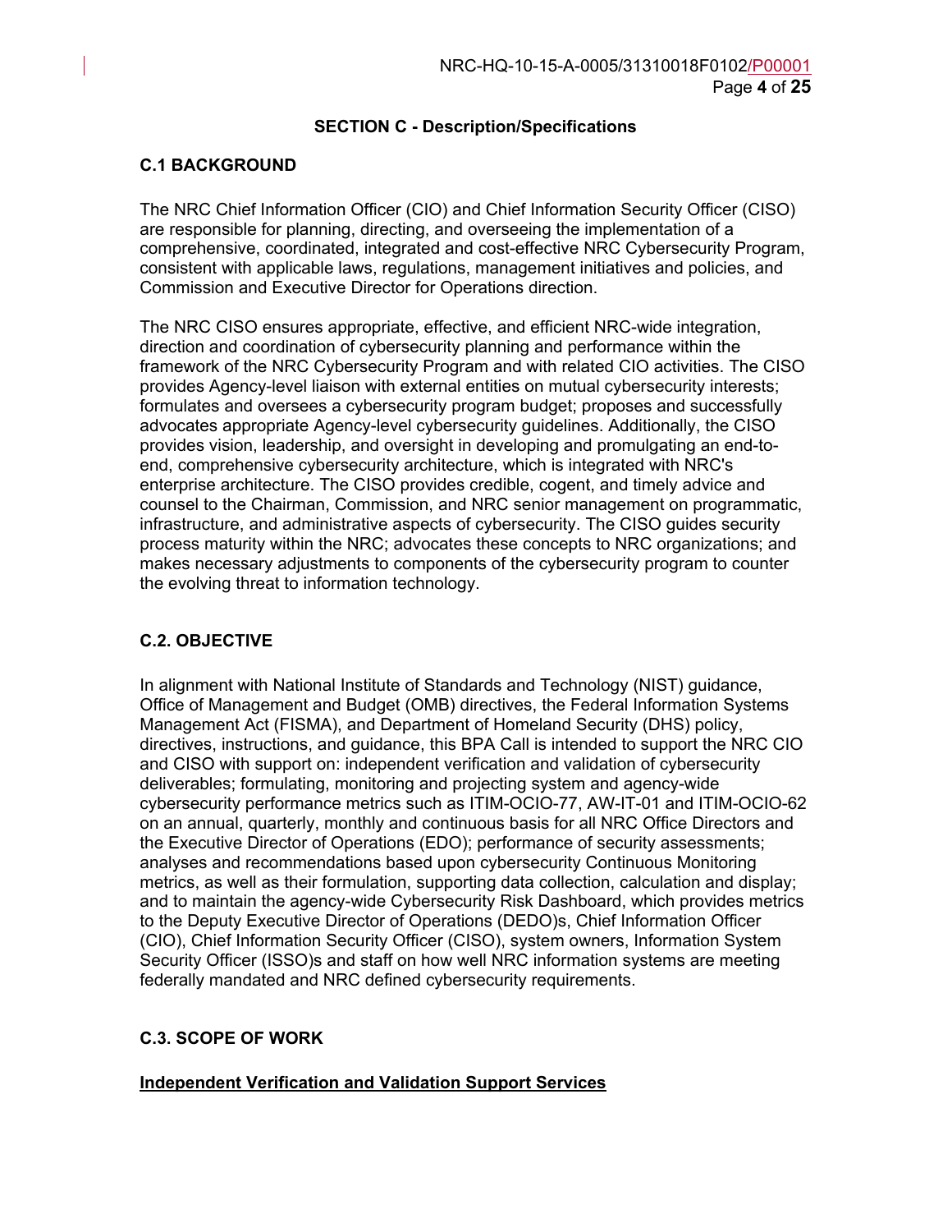### **SECTION C - Description/Specifications**

#### **C.1 BACKGROUND**

The NRC Chief Information Officer (CIO) and Chief Information Security Officer (CISO) are responsible for planning, directing, and overseeing the implementation of a comprehensive, coordinated, integrated and cost-effective NRC Cybersecurity Program, consistent with applicable laws, regulations, management initiatives and policies, and Commission and Executive Director for Operations direction.

The NRC CISO ensures appropriate, effective, and efficient NRC-wide integration, direction and coordination of cybersecurity planning and performance within the framework of the NRC Cybersecurity Program and with related CIO activities. The CISO provides Agency-level liaison with external entities on mutual cybersecurity interests; formulates and oversees a cybersecurity program budget; proposes and successfully advocates appropriate Agency-level cybersecurity guidelines. Additionally, the CISO provides vision, leadership, and oversight in developing and promulgating an end-toend, comprehensive cybersecurity architecture, which is integrated with NRC's enterprise architecture. The CISO provides credible, cogent, and timely advice and counsel to the Chairman, Commission, and NRC senior management on programmatic, infrastructure, and administrative aspects of cybersecurity. The CISO guides security process maturity within the NRC; advocates these concepts to NRC organizations; and makes necessary adjustments to components of the cybersecurity program to counter the evolving threat to information technology.

## **C.2. OBJECTIVE**

In alignment with National Institute of Standards and Technology (NIST) guidance, Office of Management and Budget (OMB) directives, the Federal Information Systems Management Act (FISMA), and Department of Homeland Security (DHS) policy, directives, instructions, and guidance, this BPA Call is intended to support the NRC CIO and CISO with support on: independent verification and validation of cybersecurity deliverables; formulating, monitoring and projecting system and agency-wide cybersecurity performance metrics such as ITIM-OCIO-77, AW-IT-01 and ITIM-OCIO-62 on an annual, quarterly, monthly and continuous basis for all NRC Office Directors and the Executive Director of Operations (EDO); performance of security assessments; analyses and recommendations based upon cybersecurity Continuous Monitoring metrics, as well as their formulation, supporting data collection, calculation and display; and to maintain the agency-wide Cybersecurity Risk Dashboard, which provides metrics to the Deputy Executive Director of Operations (DEDO)s, Chief Information Officer (CIO), Chief Information Security Officer (CISO), system owners, Information System Security Officer (ISSO)s and staff on how well NRC information systems are meeting federally mandated and NRC defined cybersecurity requirements.

# **C.3. SCOPE OF WORK**

#### **Independent Verification and Validation Support Services**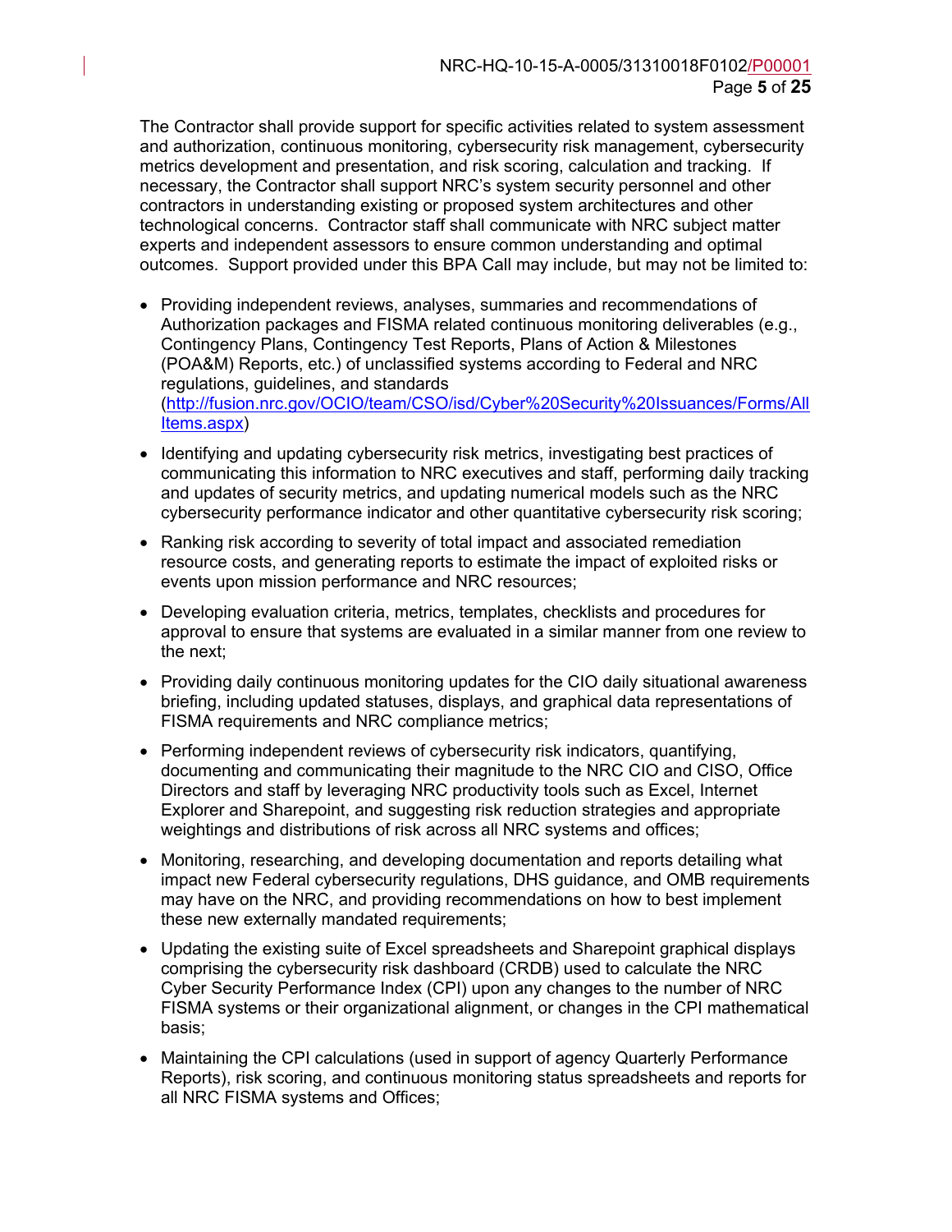The Contractor shall provide support for specific activities related to system assessment and authorization, continuous monitoring, cybersecurity risk management, cybersecurity metrics development and presentation, and risk scoring, calculation and tracking. If necessary, the Contractor shall support NRC's system security personnel and other contractors in understanding existing or proposed system architectures and other technological concerns. Contractor staff shall communicate with NRC subject matter experts and independent assessors to ensure common understanding and optimal outcomes. Support provided under this BPA Call may include, but may not be limited to:

- Providing independent reviews, analyses, summaries and recommendations of Authorization packages and FISMA related continuous monitoring deliverables (e.g., Contingency Plans, Contingency Test Reports, Plans of Action & Milestones (POA&M) Reports, etc.) of unclassified systems according to Federal and NRC regulations, guidelines, and standards (http://fusion.nrc.gov/OCIO/team/CSO/isd/Cyber%20Security%20Issuances/Forms/All Items.aspx)
- Identifying and updating cybersecurity risk metrics, investigating best practices of communicating this information to NRC executives and staff, performing daily tracking and updates of security metrics, and updating numerical models such as the NRC cybersecurity performance indicator and other quantitative cybersecurity risk scoring;
- Ranking risk according to severity of total impact and associated remediation resource costs, and generating reports to estimate the impact of exploited risks or events upon mission performance and NRC resources;
- Developing evaluation criteria, metrics, templates, checklists and procedures for approval to ensure that systems are evaluated in a similar manner from one review to the next;
- Providing daily continuous monitoring updates for the CIO daily situational awareness briefing, including updated statuses, displays, and graphical data representations of FISMA requirements and NRC compliance metrics;
- Performing independent reviews of cybersecurity risk indicators, quantifying, documenting and communicating their magnitude to the NRC CIO and CISO, Office Directors and staff by leveraging NRC productivity tools such as Excel, Internet Explorer and Sharepoint, and suggesting risk reduction strategies and appropriate weightings and distributions of risk across all NRC systems and offices;
- Monitoring, researching, and developing documentation and reports detailing what impact new Federal cybersecurity regulations, DHS guidance, and OMB requirements may have on the NRC, and providing recommendations on how to best implement these new externally mandated requirements:
- Updating the existing suite of Excel spreadsheets and Sharepoint graphical displays comprising the cybersecurity risk dashboard (CRDB) used to calculate the NRC Cyber Security Performance Index (CPI) upon any changes to the number of NRC FISMA systems or their organizational alignment, or changes in the CPI mathematical basis;
- Maintaining the CPI calculations (used in support of agency Quarterly Performance Reports), risk scoring, and continuous monitoring status spreadsheets and reports for all NRC FISMA systems and Offices;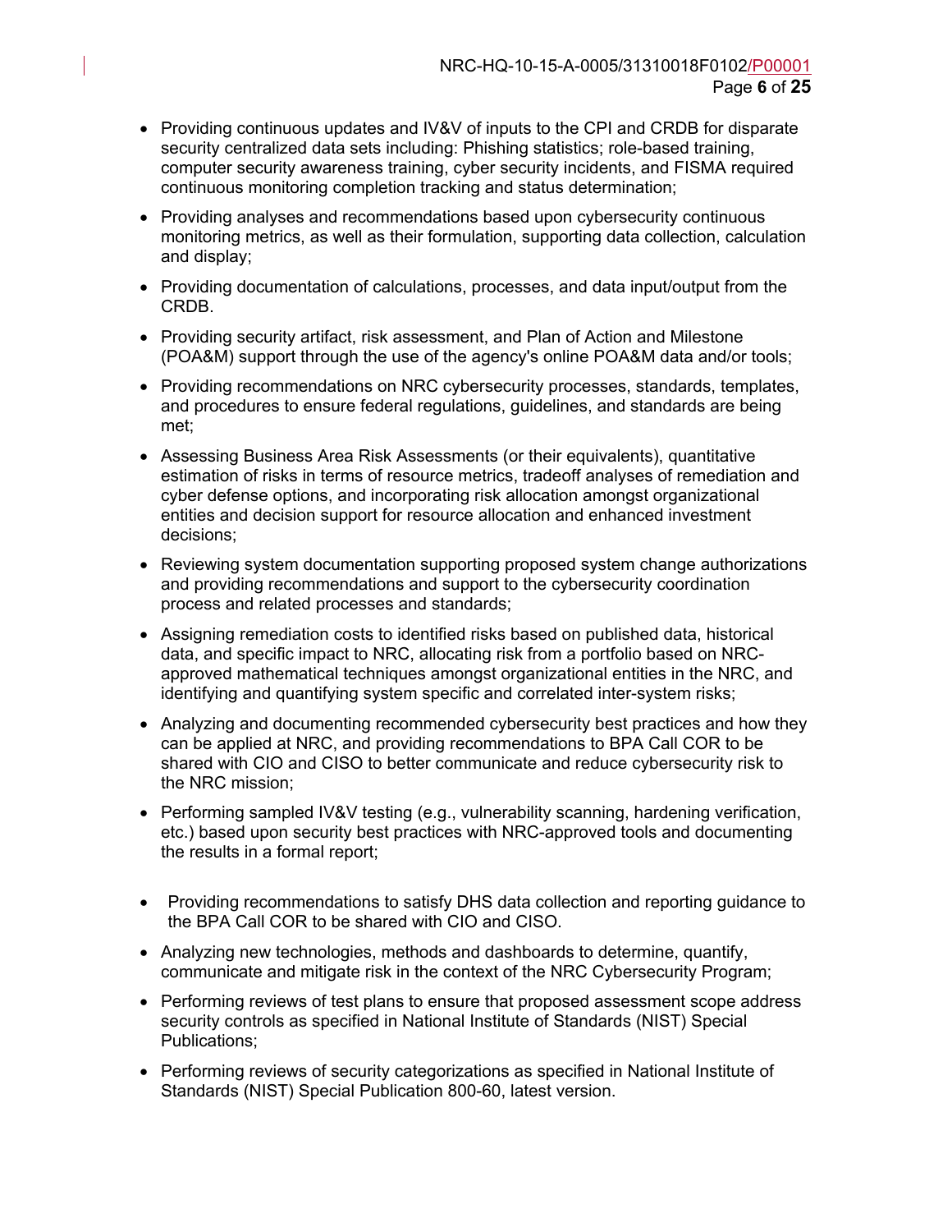- Providing continuous updates and IV&V of inputs to the CPI and CRDB for disparate security centralized data sets including: Phishing statistics; role-based training, computer security awareness training, cyber security incidents, and FISMA required continuous monitoring completion tracking and status determination;
- Providing analyses and recommendations based upon cybersecurity continuous monitoring metrics, as well as their formulation, supporting data collection, calculation and display;
- Providing documentation of calculations, processes, and data input/output from the CRDB.
- Providing security artifact, risk assessment, and Plan of Action and Milestone (POA&M) support through the use of the agency's online POA&M data and/or tools;
- Providing recommendations on NRC cybersecurity processes, standards, templates, and procedures to ensure federal regulations, guidelines, and standards are being met;
- Assessing Business Area Risk Assessments (or their equivalents), quantitative estimation of risks in terms of resource metrics, tradeoff analyses of remediation and cyber defense options, and incorporating risk allocation amongst organizational entities and decision support for resource allocation and enhanced investment decisions;
- Reviewing system documentation supporting proposed system change authorizations and providing recommendations and support to the cybersecurity coordination process and related processes and standards;
- Assigning remediation costs to identified risks based on published data, historical data, and specific impact to NRC, allocating risk from a portfolio based on NRCapproved mathematical techniques amongst organizational entities in the NRC, and identifying and quantifying system specific and correlated inter-system risks;
- Analyzing and documenting recommended cybersecurity best practices and how they can be applied at NRC, and providing recommendations to BPA Call COR to be shared with CIO and CISO to better communicate and reduce cybersecurity risk to the NRC mission;
- Performing sampled IV&V testing (e.g., vulnerability scanning, hardening verification, etc.) based upon security best practices with NRC-approved tools and documenting the results in a formal report;
- Providing recommendations to satisfy DHS data collection and reporting guidance to the BPA Call COR to be shared with CIO and CISO.
- Analyzing new technologies, methods and dashboards to determine, quantify, communicate and mitigate risk in the context of the NRC Cybersecurity Program;
- Performing reviews of test plans to ensure that proposed assessment scope address security controls as specified in National Institute of Standards (NIST) Special Publications;
- Performing reviews of security categorizations as specified in National Institute of Standards (NIST) Special Publication 800-60, latest version.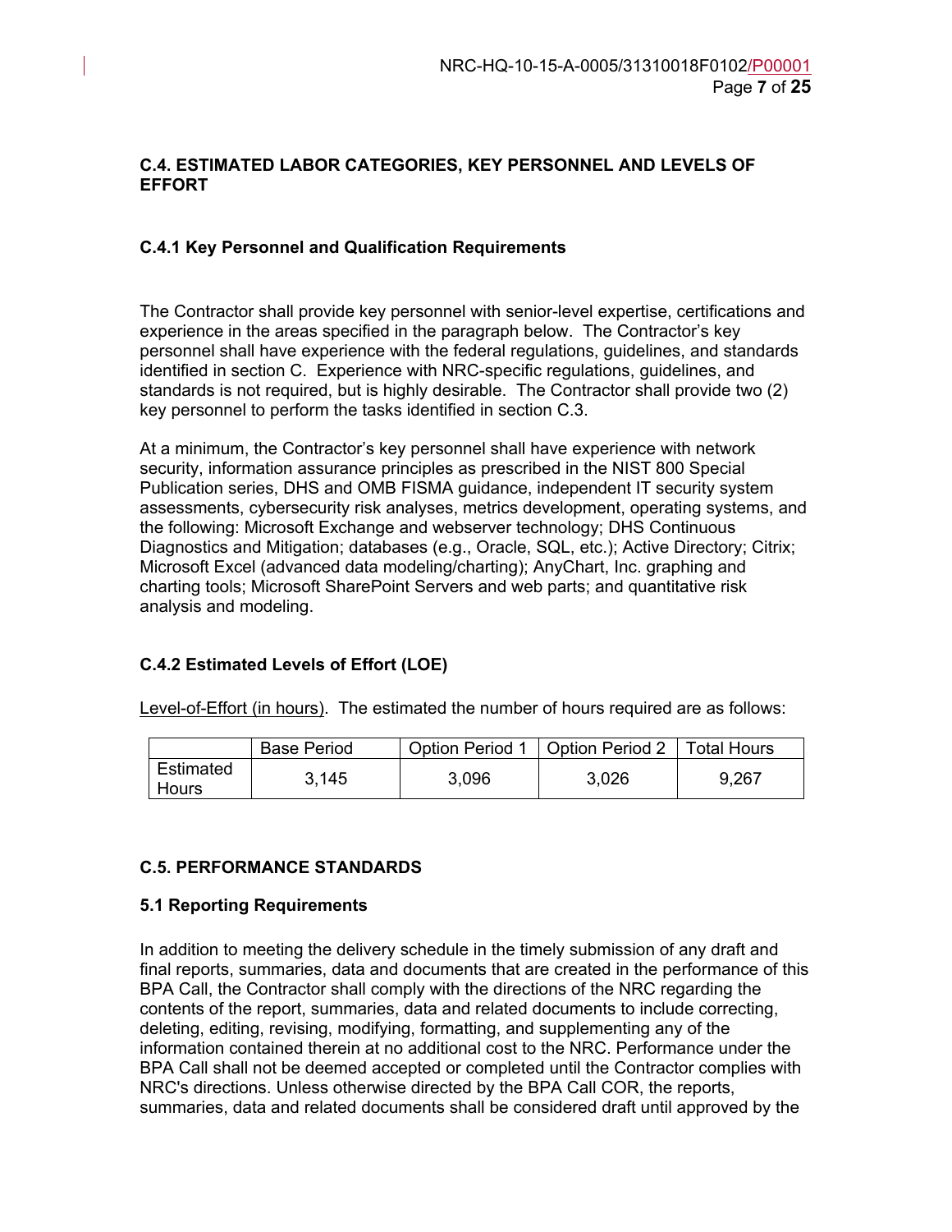## **C.4. ESTIMATED LABOR CATEGORIES, KEY PERSONNEL AND LEVELS OF EFFORT**

## **C.4.1 Key Personnel and Qualification Requirements**

The Contractor shall provide key personnel with senior-level expertise, certifications and experience in the areas specified in the paragraph below. The Contractor's key personnel shall have experience with the federal regulations, guidelines, and standards identified in section C. Experience with NRC-specific regulations, guidelines, and standards is not required, but is highly desirable. The Contractor shall provide two (2) key personnel to perform the tasks identified in section C.3.

At a minimum, the Contractor's key personnel shall have experience with network security, information assurance principles as prescribed in the NIST 800 Special Publication series, DHS and OMB FISMA guidance, independent IT security system assessments, cybersecurity risk analyses, metrics development, operating systems, and the following: Microsoft Exchange and webserver technology; DHS Continuous Diagnostics and Mitigation; databases (e.g., Oracle, SQL, etc.); Active Directory; Citrix; Microsoft Excel (advanced data modeling/charting); AnyChart, Inc. graphing and charting tools; Microsoft SharePoint Servers and web parts; and quantitative risk analysis and modeling.

# **C.4.2 Estimated Levels of Effort (LOE)**

Level-of-Effort (in hours). The estimated the number of hours required are as follows:

|                    | <b>Base Period</b> | Option Period 1 | Option Period 2 | Total Hours |
|--------------------|--------------------|-----------------|-----------------|-------------|
| Estimated<br>Hours | 3.145              | 3,096           | 3,026           | 9,267       |

## **C.5. PERFORMANCE STANDARDS**

## **5.1 Reporting Requirements**

In addition to meeting the delivery schedule in the timely submission of any draft and final reports, summaries, data and documents that are created in the performance of this BPA Call, the Contractor shall comply with the directions of the NRC regarding the contents of the report, summaries, data and related documents to include correcting, deleting, editing, revising, modifying, formatting, and supplementing any of the information contained therein at no additional cost to the NRC. Performance under the BPA Call shall not be deemed accepted or completed until the Contractor complies with NRC's directions. Unless otherwise directed by the BPA Call COR, the reports, summaries, data and related documents shall be considered draft until approved by the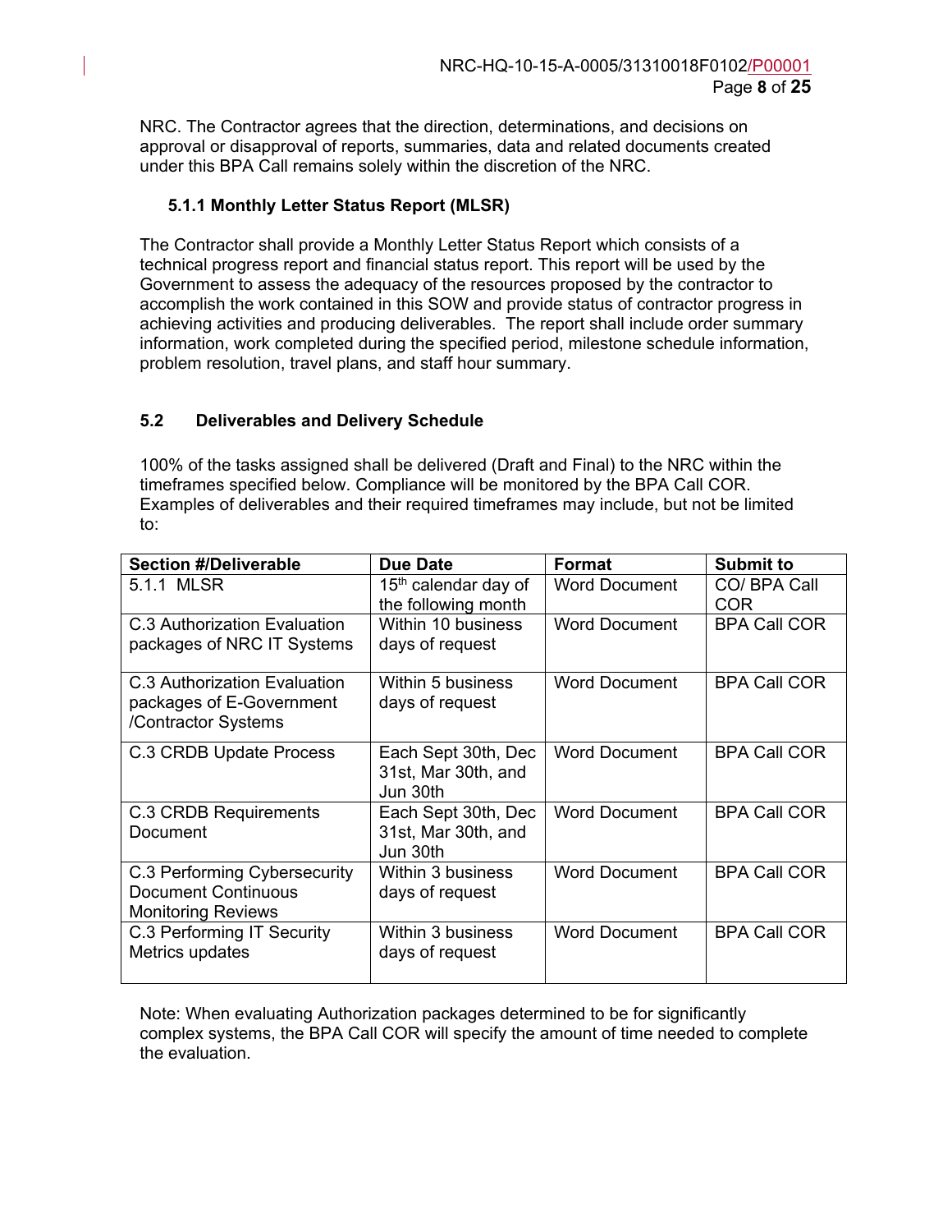NRC. The Contractor agrees that the direction, determinations, and decisions on approval or disapproval of reports, summaries, data and related documents created under this BPA Call remains solely within the discretion of the NRC.

## **5.1.1 Monthly Letter Status Report (MLSR)**

The Contractor shall provide a Monthly Letter Status Report which consists of a technical progress report and financial status report. This report will be used by the Government to assess the adequacy of the resources proposed by the contractor to accomplish the work contained in this SOW and provide status of contractor progress in achieving activities and producing deliverables. The report shall include order summary information, work completed during the specified period, milestone schedule information, problem resolution, travel plans, and staff hour summary.

## **5.2 Deliverables and Delivery Schedule**

100% of the tasks assigned shall be delivered (Draft and Final) to the NRC within the timeframes specified below. Compliance will be monitored by the BPA Call COR. Examples of deliverables and their required timeframes may include, but not be limited to:

| <b>Section #/Deliverable</b>                                                            | Due Date                                               | <b>Format</b>        | <b>Submit to</b>           |
|-----------------------------------------------------------------------------------------|--------------------------------------------------------|----------------------|----------------------------|
| 5.1.1 MLSR                                                                              | $15th$ calendar day of<br>the following month          | <b>Word Document</b> | CO/ BPA Call<br><b>COR</b> |
| C.3 Authorization Evaluation<br>packages of NRC IT Systems                              | Within 10 business<br>days of request                  | <b>Word Document</b> | <b>BPA Call COR</b>        |
| C.3 Authorization Evaluation<br>packages of E-Government<br>/Contractor Systems         | Within 5 business<br>days of request                   | <b>Word Document</b> | <b>BPA Call COR</b>        |
| C.3 CRDB Update Process                                                                 | Each Sept 30th, Dec<br>31st, Mar 30th, and<br>Jun 30th | <b>Word Document</b> | <b>BPA Call COR</b>        |
| <b>C.3 CRDB Requirements</b><br>Document                                                | Each Sept 30th, Dec<br>31st, Mar 30th, and<br>Jun 30th | <b>Word Document</b> | <b>BPA Call COR</b>        |
| C.3 Performing Cybersecurity<br><b>Document Continuous</b><br><b>Monitoring Reviews</b> | Within 3 business<br>days of request                   | <b>Word Document</b> | <b>BPA Call COR</b>        |
| C.3 Performing IT Security<br>Metrics updates                                           | Within 3 business<br>days of request                   | <b>Word Document</b> | <b>BPA Call COR</b>        |

Note: When evaluating Authorization packages determined to be for significantly complex systems, the BPA Call COR will specify the amount of time needed to complete the evaluation.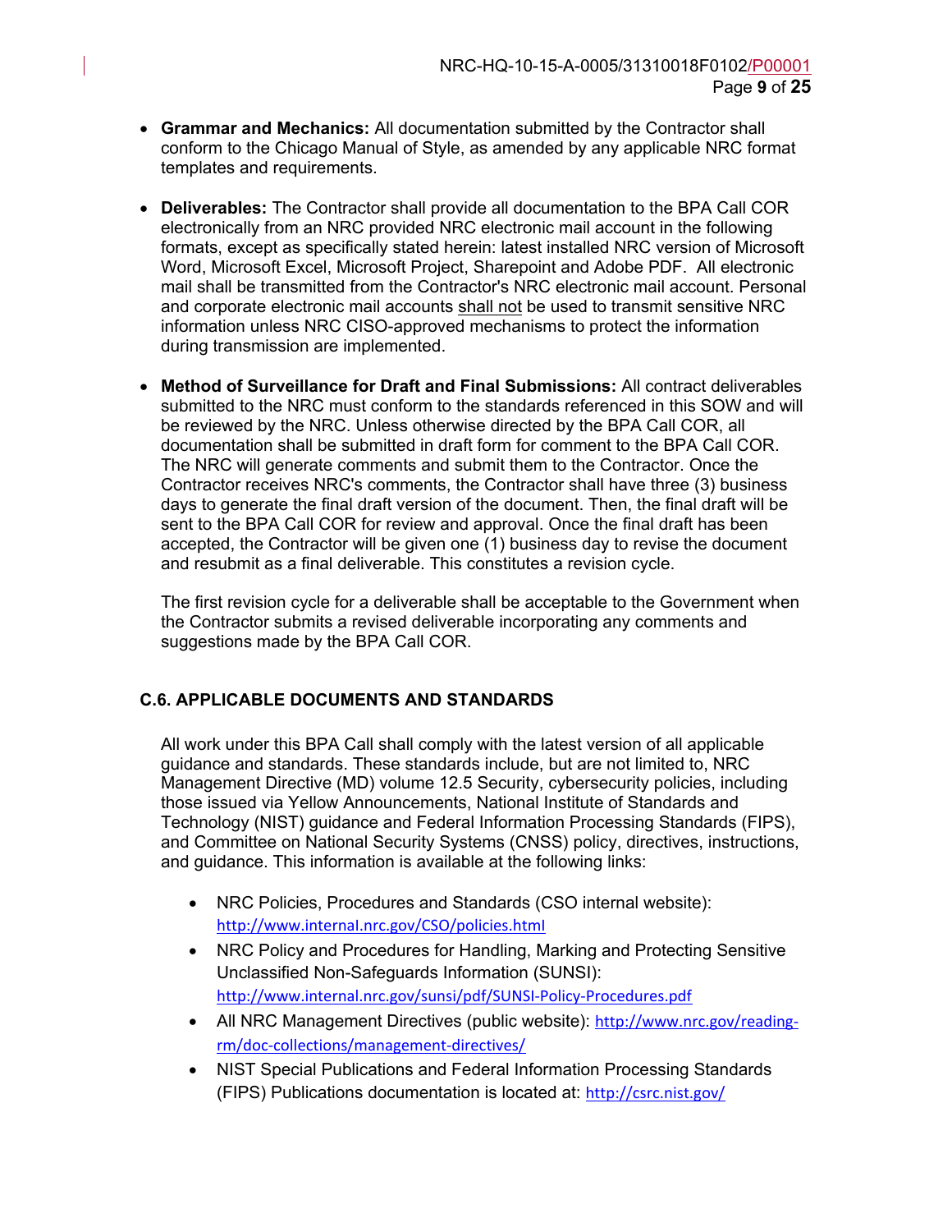- **Grammar and Mechanics:** All documentation submitted by the Contractor shall conform to the Chicago Manual of Style, as amended by any applicable NRC format templates and requirements.
- **Deliverables:** The Contractor shall provide all documentation to the BPA Call COR electronically from an NRC provided NRC electronic mail account in the following formats, except as specifically stated herein: latest installed NRC version of Microsoft Word, Microsoft Excel, Microsoft Project, Sharepoint and Adobe PDF. All electronic mail shall be transmitted from the Contractor's NRC electronic mail account. Personal and corporate electronic mail accounts shall not be used to transmit sensitive NRC information unless NRC CISO-approved mechanisms to protect the information during transmission are implemented.
- **Method of Surveillance for Draft and Final Submissions:** All contract deliverables submitted to the NRC must conform to the standards referenced in this SOW and will be reviewed by the NRC. Unless otherwise directed by the BPA Call COR, all documentation shall be submitted in draft form for comment to the BPA Call COR. The NRC will generate comments and submit them to the Contractor. Once the Contractor receives NRC's comments, the Contractor shall have three (3) business days to generate the final draft version of the document. Then, the final draft will be sent to the BPA Call COR for review and approval. Once the final draft has been accepted, the Contractor will be given one (1) business day to revise the document and resubmit as a final deliverable. This constitutes a revision cycle.

The first revision cycle for a deliverable shall be acceptable to the Government when the Contractor submits a revised deliverable incorporating any comments and suggestions made by the BPA Call COR.

# **C.6. APPLICABLE DOCUMENTS AND STANDARDS**

All work under this BPA Call shall comply with the latest version of all applicable guidance and standards. These standards include, but are not limited to, NRC Management Directive (MD) volume 12.5 Security, cybersecurity policies, including those issued via Yellow Announcements, National Institute of Standards and Technology (NIST) guidance and Federal Information Processing Standards (FIPS), and Committee on National Security Systems (CNSS) policy, directives, instructions, and guidance. This information is available at the following links:

- NRC Policies, Procedures and Standards (CSO internal website): http://www.internaI.nrc.gov/CSO/policies.htmI
- NRC Policy and Procedures for Handling, Marking and Protecting Sensitive Unclassified Non-Safeguards Information (SUNSI): http://www.internal.nrc.gov/sunsi/pdf/SUNSI-Policy-Procedures.pdf
- All NRC Management Directives (public website): http://www.nrc.gov/readingrm/doc-collections/management-directives/
- NIST Special Publications and Federal Information Processing Standards (FIPS) Publications documentation is located at: http://csrc.nist.gov/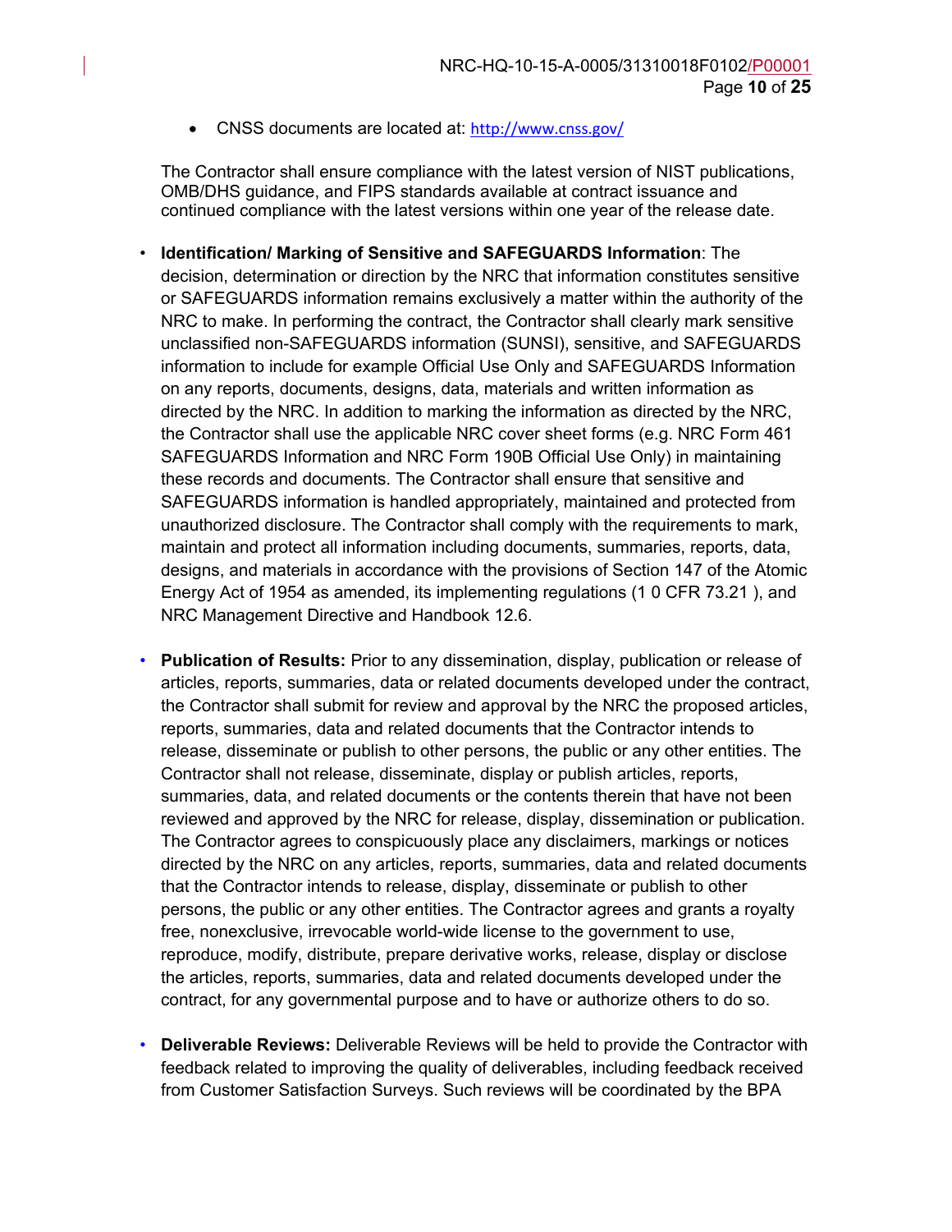CNSS documents are located at: http://www.cnss.gov/

The Contractor shall ensure compliance with the latest version of NIST publications, OMB/DHS guidance, and FIPS standards available at contract issuance and continued compliance with the latest versions within one year of the release date.

- **Identification/ Marking of Sensitive and SAFEGUARDS Information**: The decision, determination or direction by the NRC that information constitutes sensitive or SAFEGUARDS information remains exclusively a matter within the authority of the NRC to make. In performing the contract, the Contractor shall clearly mark sensitive unclassified non-SAFEGUARDS information (SUNSI), sensitive, and SAFEGUARDS information to include for example Official Use Only and SAFEGUARDS Information on any reports, documents, designs, data, materials and written information as directed by the NRC. In addition to marking the information as directed by the NRC, the Contractor shall use the applicable NRC cover sheet forms (e.g. NRC Form 461 SAFEGUARDS Information and NRC Form 190B Official Use Only) in maintaining these records and documents. The Contractor shall ensure that sensitive and SAFEGUARDS information is handled appropriately, maintained and protected from unauthorized disclosure. The Contractor shall comply with the requirements to mark, maintain and protect all information including documents, summaries, reports, data, designs, and materials in accordance with the provisions of Section 147 of the Atomic Energy Act of 1954 as amended, its implementing regulations (1 0 CFR 73.21 ), and NRC Management Directive and Handbook 12.6.
- **Publication of Results:** Prior to any dissemination, display, publication or release of articles, reports, summaries, data or related documents developed under the contract, the Contractor shall submit for review and approval by the NRC the proposed articles, reports, summaries, data and related documents that the Contractor intends to release, disseminate or publish to other persons, the public or any other entities. The Contractor shall not release, disseminate, display or publish articles, reports, summaries, data, and related documents or the contents therein that have not been reviewed and approved by the NRC for release, display, dissemination or publication. The Contractor agrees to conspicuously place any disclaimers, markings or notices directed by the NRC on any articles, reports, summaries, data and related documents that the Contractor intends to release, display, disseminate or publish to other persons, the public or any other entities. The Contractor agrees and grants a royalty free, nonexclusive, irrevocable world-wide license to the government to use, reproduce, modify, distribute, prepare derivative works, release, display or disclose the articles, reports, summaries, data and related documents developed under the contract, for any governmental purpose and to have or authorize others to do so.
- **Deliverable Reviews:** Deliverable Reviews will be held to provide the Contractor with feedback related to improving the quality of deliverables, including feedback received from Customer Satisfaction Surveys. Such reviews will be coordinated by the BPA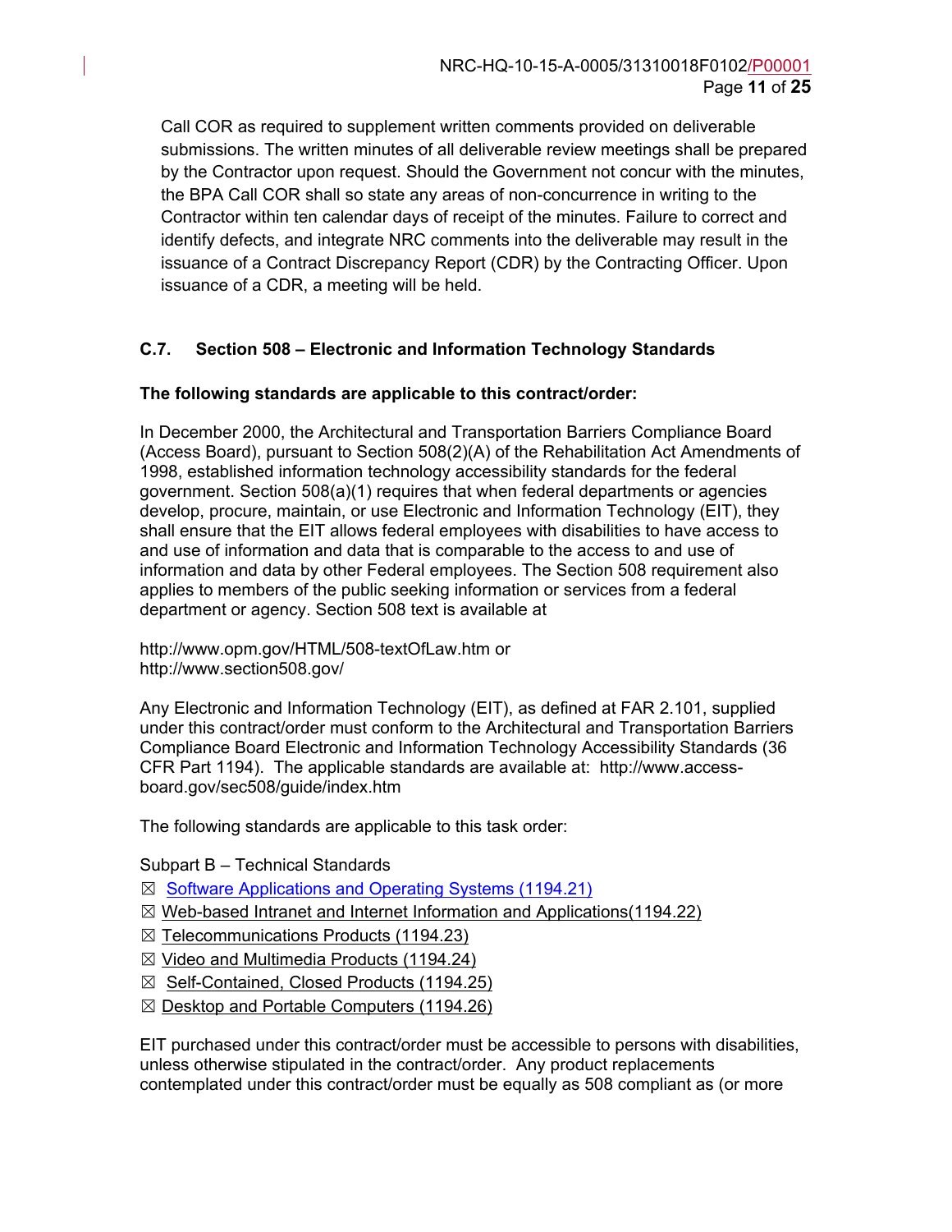Call COR as required to supplement written comments provided on deliverable submissions. The written minutes of all deliverable review meetings shall be prepared by the Contractor upon request. Should the Government not concur with the minutes, the BPA Call COR shall so state any areas of non-concurrence in writing to the Contractor within ten calendar days of receipt of the minutes. Failure to correct and identify defects, and integrate NRC comments into the deliverable may result in the issuance of a Contract Discrepancy Report (CDR) by the Contracting Officer. Upon issuance of a CDR, a meeting will be held.

## **C.7. Section 508 – Electronic and Information Technology Standards**

#### **The following standards are applicable to this contract/order:**

In December 2000, the Architectural and Transportation Barriers Compliance Board (Access Board), pursuant to Section 508(2)(A) of the Rehabilitation Act Amendments of 1998, established information technology accessibility standards for the federal government. Section 508(a)(1) requires that when federal departments or agencies develop, procure, maintain, or use Electronic and Information Technology (EIT), they shall ensure that the EIT allows federal employees with disabilities to have access to and use of information and data that is comparable to the access to and use of information and data by other Federal employees. The Section 508 requirement also applies to members of the public seeking information or services from a federal department or agency. Section 508 text is available at

http://www.opm.gov/HTML/508-textOfLaw.htm or http://www.section508.gov/

Any Electronic and Information Technology (EIT), as defined at FAR 2.101, supplied under this contract/order must conform to the Architectural and Transportation Barriers Compliance Board Electronic and Information Technology Accessibility Standards (36 CFR Part 1194). The applicable standards are available at: http://www.accessboard.gov/sec508/guide/index.htm

The following standards are applicable to this task order:

#### Subpart B – Technical Standards

- ⊠ Software Applications and Operating Systems (1194.21)
- $\boxtimes$  Web-based Intranet and Internet Information and Applications(1194.22)
- $\boxtimes$  Telecommunications Products (1194.23)
- ☒ Video and Multimedia Products (1194.24)
- ☒ Self-Contained, Closed Products (1194.25)
- $\boxtimes$  Desktop and Portable Computers (1194.26)

EIT purchased under this contract/order must be accessible to persons with disabilities, unless otherwise stipulated in the contract/order. Any product replacements contemplated under this contract/order must be equally as 508 compliant as (or more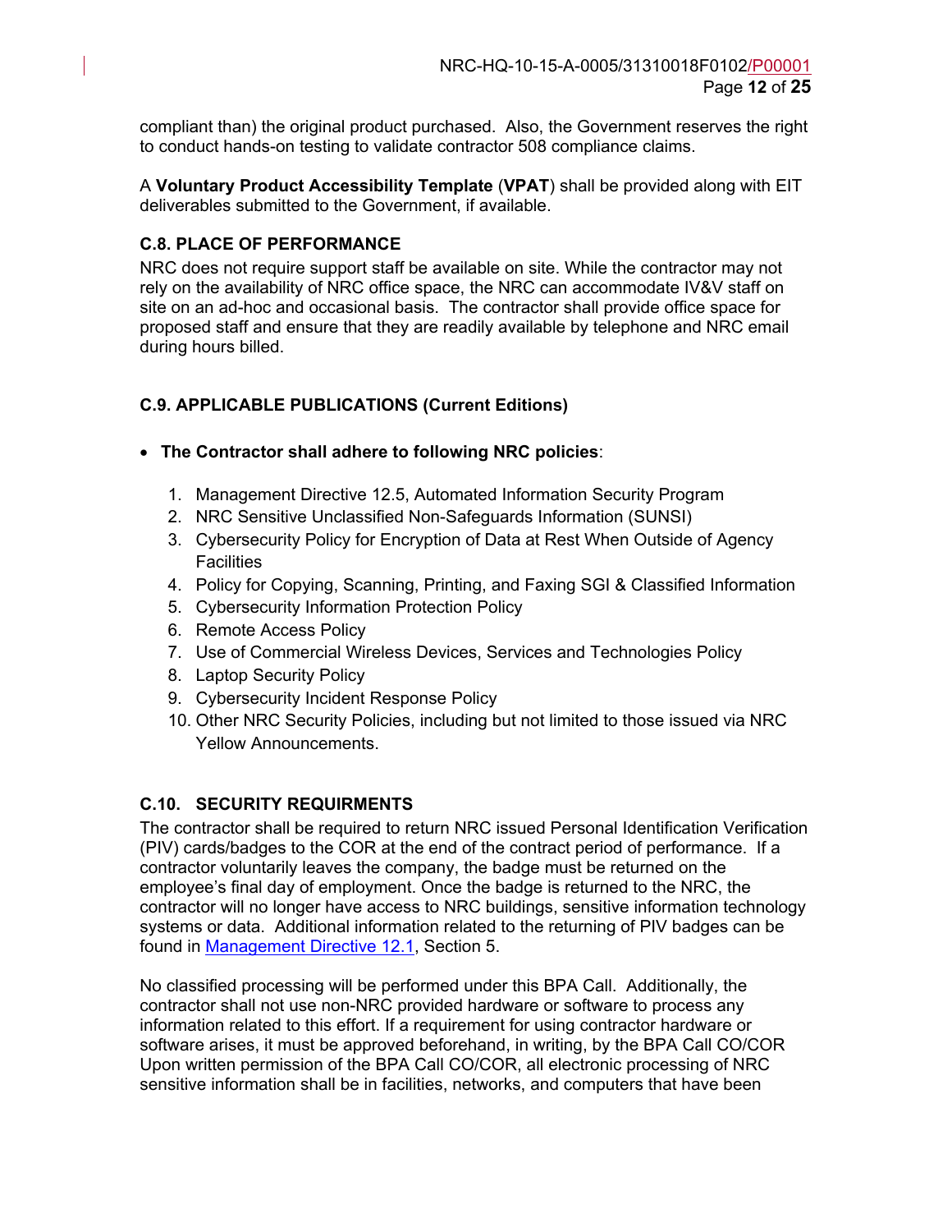compliant than) the original product purchased. Also, the Government reserves the right to conduct hands-on testing to validate contractor 508 compliance claims.

A **Voluntary Product Accessibility Template** (**VPAT**) shall be provided along with EIT deliverables submitted to the Government, if available.

### **C.8. PLACE OF PERFORMANCE**

NRC does not require support staff be available on site. While the contractor may not rely on the availability of NRC office space, the NRC can accommodate IV&V staff on site on an ad-hoc and occasional basis. The contractor shall provide office space for proposed staff and ensure that they are readily available by telephone and NRC email during hours billed.

## **C.9. APPLICABLE PUBLICATIONS (Current Editions)**

- **The Contractor shall adhere to following NRC policies**:
	- 1. Management Directive 12.5, Automated Information Security Program
	- 2. NRC Sensitive Unclassified Non-Safeguards Information (SUNSI)
	- 3. Cybersecurity Policy for Encryption of Data at Rest When Outside of Agency **Facilities**
	- 4. Policy for Copying, Scanning, Printing, and Faxing SGI & Classified Information
	- 5. Cybersecurity Information Protection Policy
	- 6. Remote Access Policy
	- 7. Use of Commercial Wireless Devices, Services and Technologies Policy
	- 8. Laptop Security Policy
	- 9. Cybersecurity Incident Response Policy
	- 10. Other NRC Security Policies, including but not limited to those issued via NRC Yellow Announcements.

#### **C.10. SECURITY REQUIRMENTS**

The contractor shall be required to return NRC issued Personal Identification Verification (PIV) cards/badges to the COR at the end of the contract period of performance. If a contractor voluntarily leaves the company, the badge must be returned on the employee's final day of employment. Once the badge is returned to the NRC, the contractor will no longer have access to NRC buildings, sensitive information technology systems or data. Additional information related to the returning of PIV badges can be found in Management Directive 12.1, Section 5.

No classified processing will be performed under this BPA Call. Additionally, the contractor shall not use non-NRC provided hardware or software to process any information related to this effort. If a requirement for using contractor hardware or software arises, it must be approved beforehand, in writing, by the BPA Call CO/COR Upon written permission of the BPA Call CO/COR, all electronic processing of NRC sensitive information shall be in facilities, networks, and computers that have been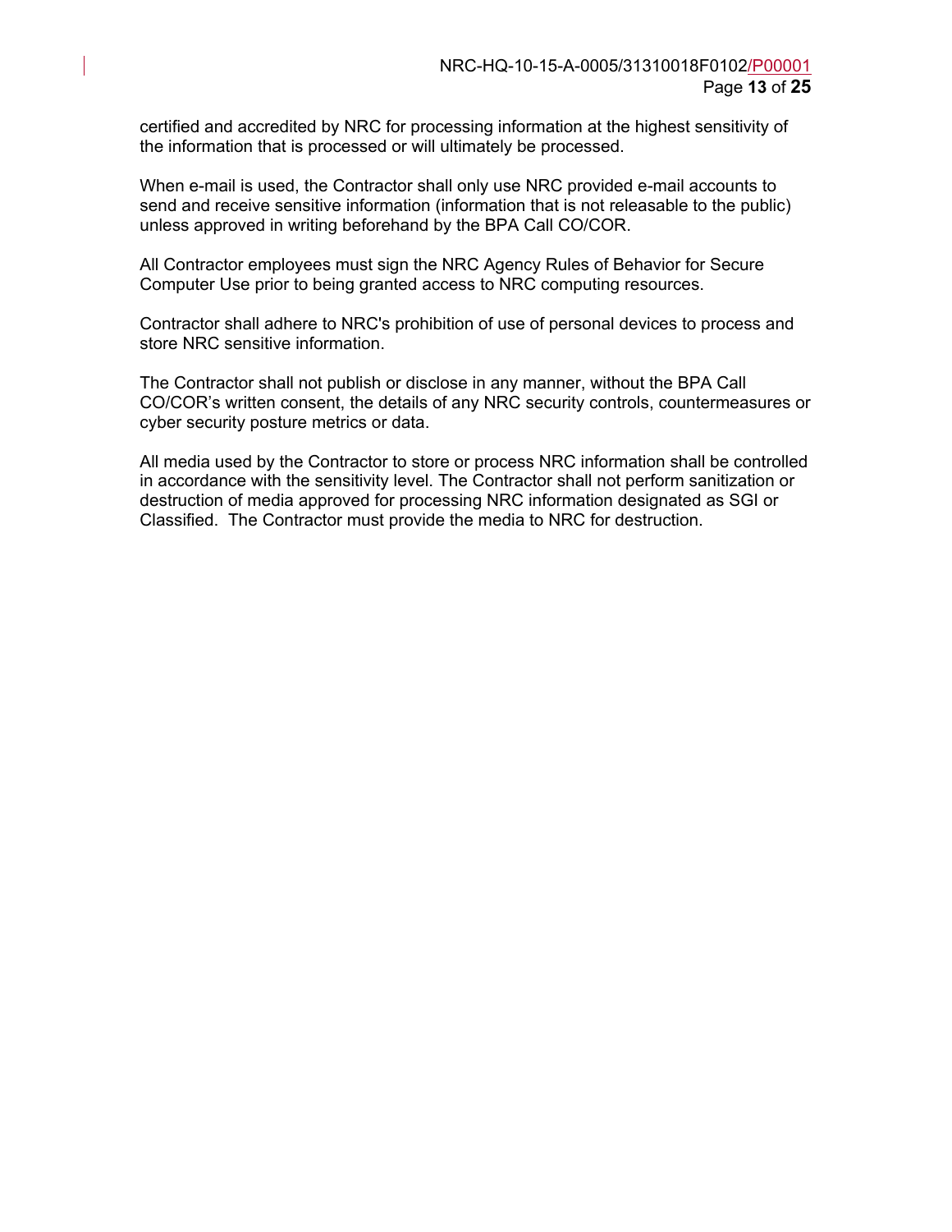certified and accredited by NRC for processing information at the highest sensitivity of the information that is processed or will ultimately be processed.

When e-mail is used, the Contractor shall only use NRC provided e-mail accounts to send and receive sensitive information (information that is not releasable to the public) unless approved in writing beforehand by the BPA Call CO/COR.

All Contractor employees must sign the NRC Agency Rules of Behavior for Secure Computer Use prior to being granted access to NRC computing resources.

Contractor shall adhere to NRC's prohibition of use of personal devices to process and store NRC sensitive information.

The Contractor shall not publish or disclose in any manner, without the BPA Call CO/COR's written consent, the details of any NRC security controls, countermeasures or cyber security posture metrics or data.

All media used by the Contractor to store or process NRC information shall be controlled in accordance with the sensitivity level. The Contractor shall not perform sanitization or destruction of media approved for processing NRC information designated as SGI or Classified. The Contractor must provide the media to NRC for destruction.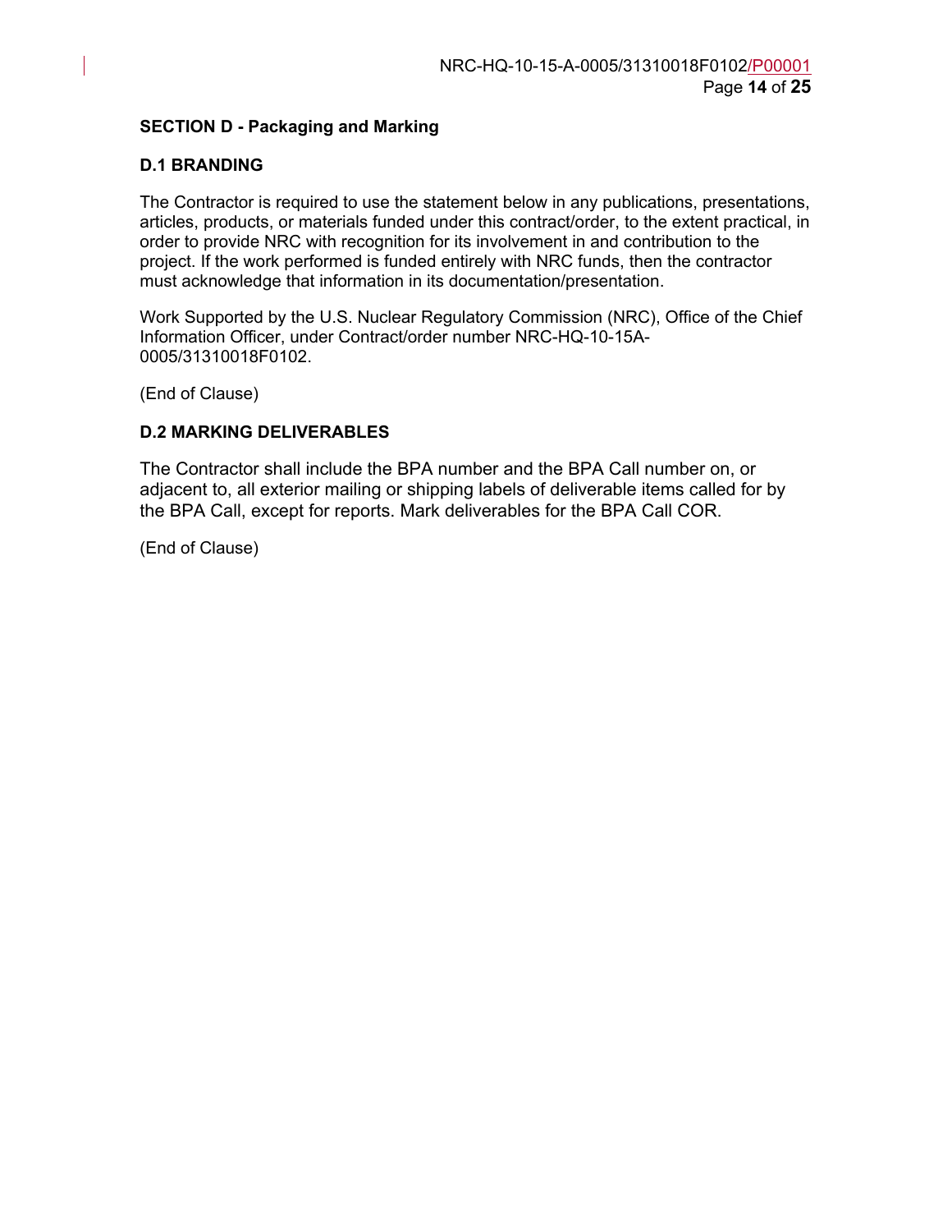#### **SECTION D - Packaging and Marking**

#### **D.1 BRANDING**

The Contractor is required to use the statement below in any publications, presentations, articles, products, or materials funded under this contract/order, to the extent practical, in order to provide NRC with recognition for its involvement in and contribution to the project. If the work performed is funded entirely with NRC funds, then the contractor must acknowledge that information in its documentation/presentation.

Work Supported by the U.S. Nuclear Regulatory Commission (NRC), Office of the Chief Information Officer, under Contract/order number NRC-HQ-10-15A-0005/31310018F0102.

(End of Clause)

#### **D.2 MARKING DELIVERABLES**

The Contractor shall include the BPA number and the BPA Call number on, or adjacent to, all exterior mailing or shipping labels of deliverable items called for by the BPA Call, except for reports. Mark deliverables for the BPA Call COR.

(End of Clause)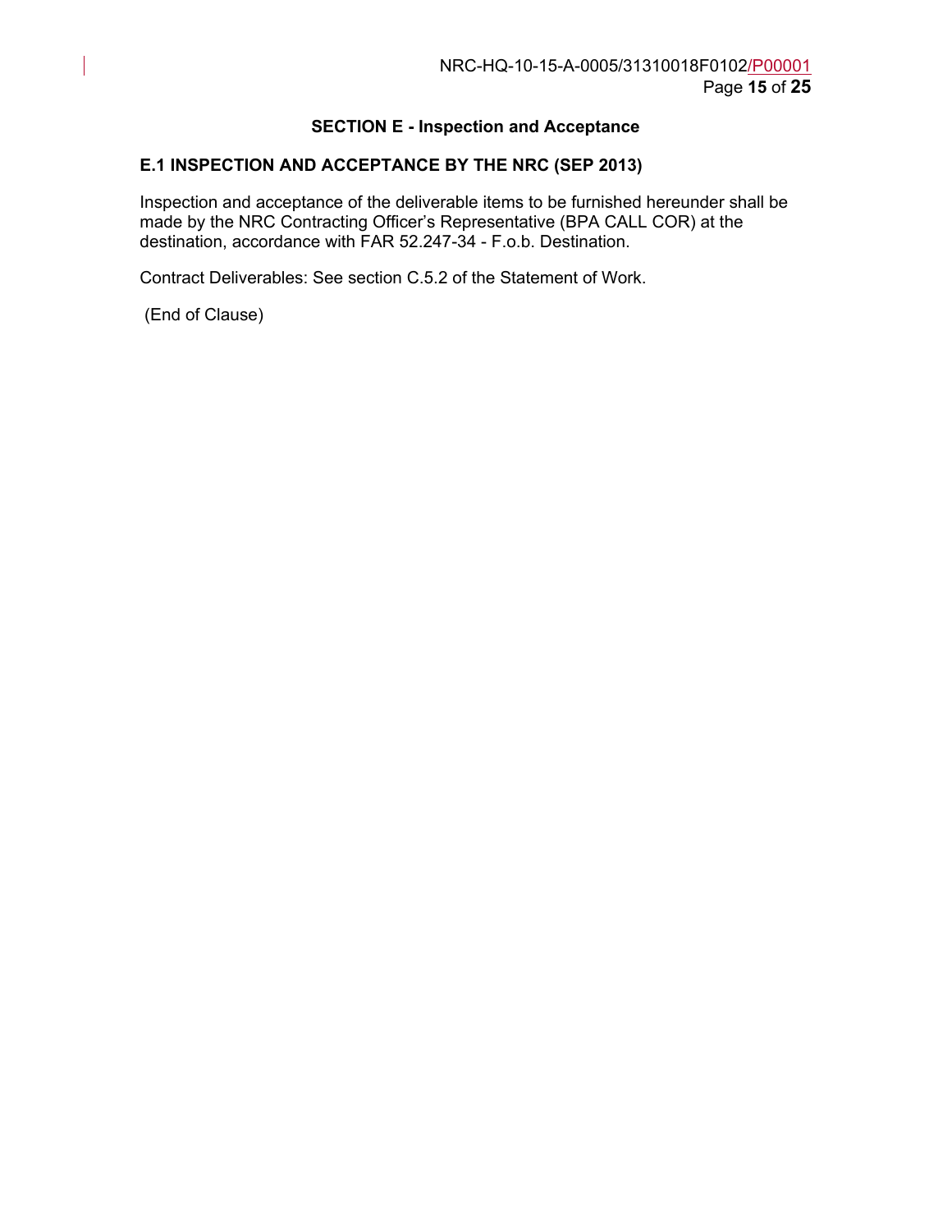### **SECTION E - Inspection and Acceptance**

## **E.1 INSPECTION AND ACCEPTANCE BY THE NRC (SEP 2013)**

Inspection and acceptance of the deliverable items to be furnished hereunder shall be made by the NRC Contracting Officer's Representative (BPA CALL COR) at the destination, accordance with FAR 52.247-34 - F.o.b. Destination.

Contract Deliverables: See section C.5.2 of the Statement of Work.

(End of Clause)

 $\overline{\phantom{a}}$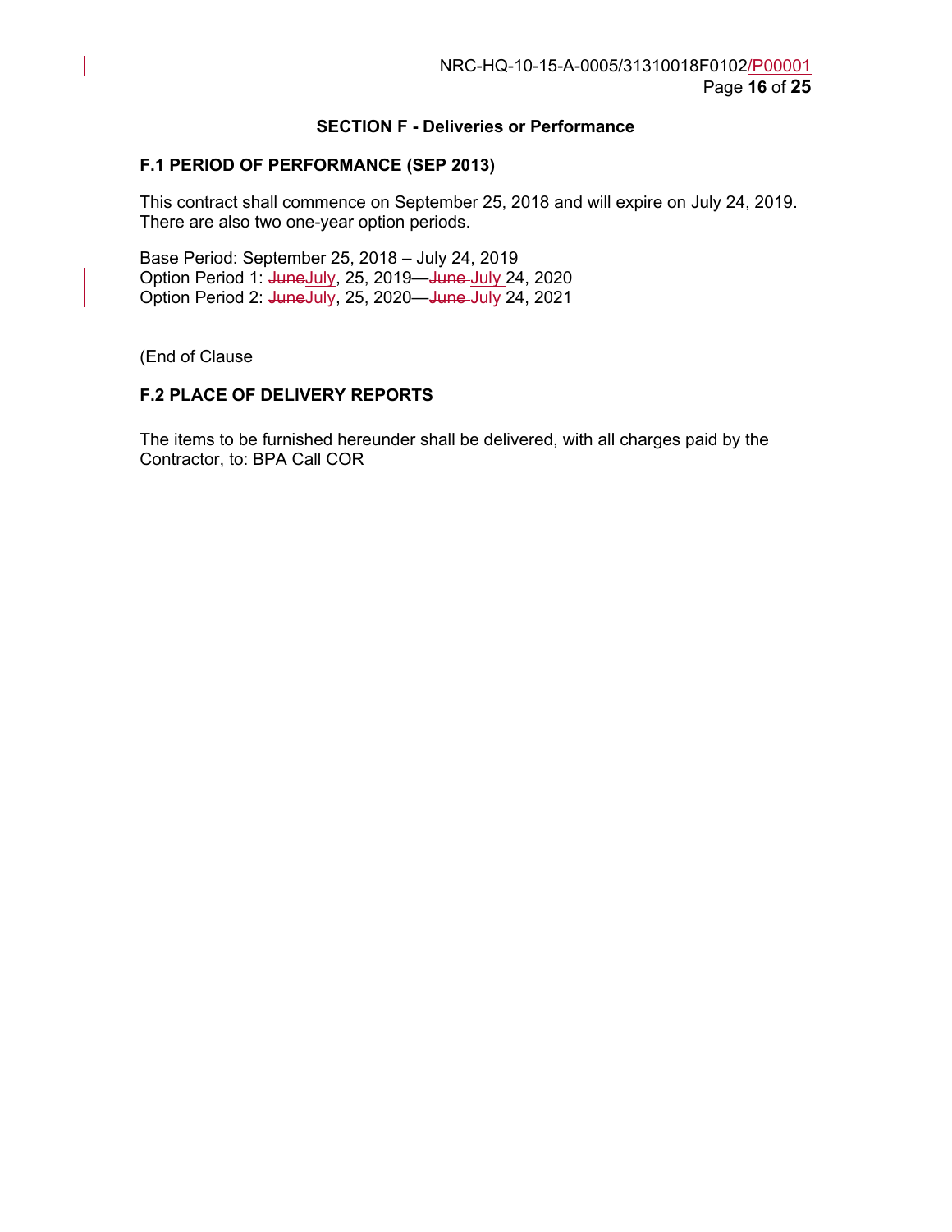#### **SECTION F - Deliveries or Performance**

#### **F.1 PERIOD OF PERFORMANCE (SEP 2013)**

This contract shall commence on September 25, 2018 and will expire on July 24, 2019. There are also two one-year option periods.

Base Period: September 25, 2018 – July 24, 2019 Option Period 1: JuneJuly, 25, 2019-June-July 24, 2020 Option Period 2: JuneJuly, 25, 2020—June July 24, 2021

(End of Clause

#### **F.2 PLACE OF DELIVERY REPORTS**

The items to be furnished hereunder shall be delivered, with all charges paid by the Contractor, to: BPA Call COR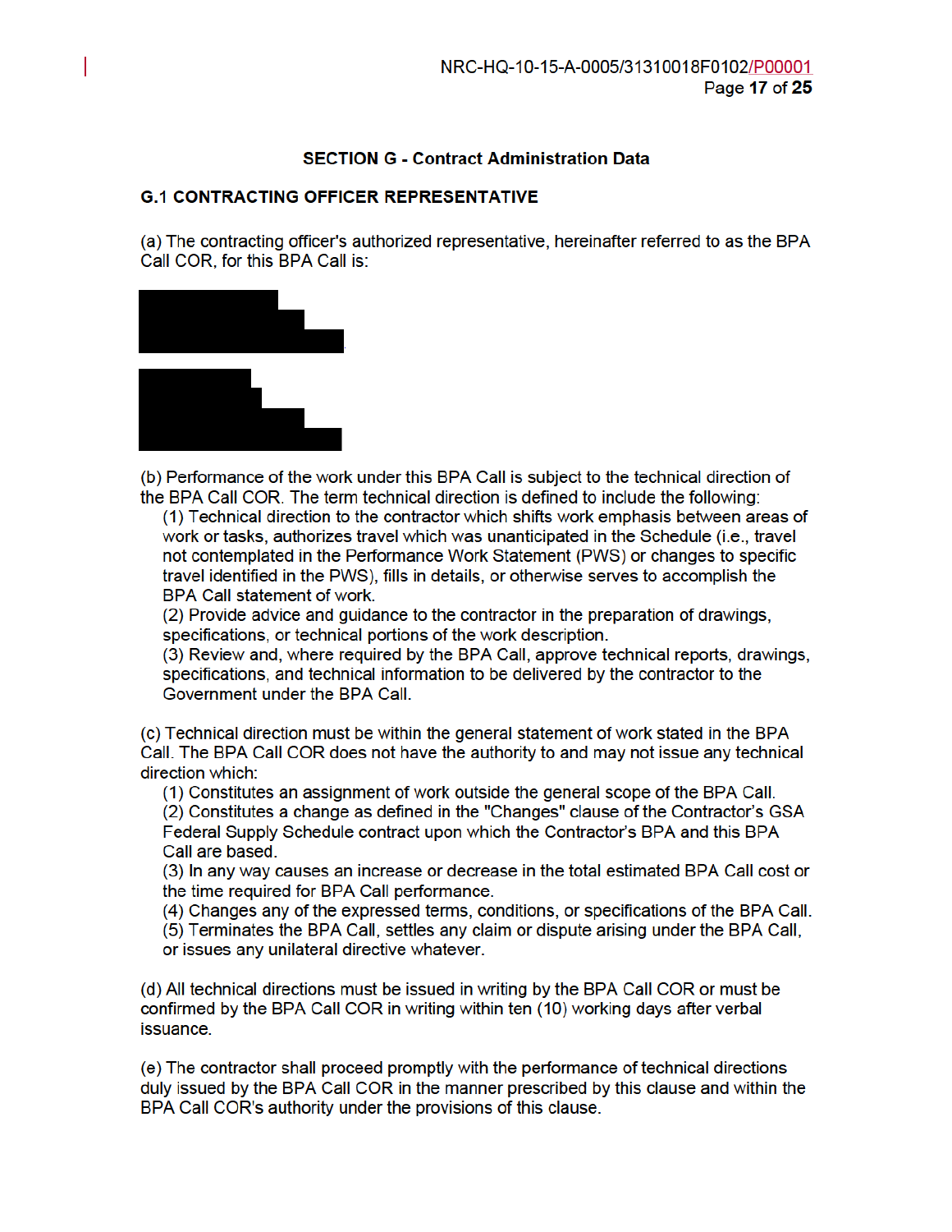## **SECTION G - Contract Administration Data**

## **G.1 CONTRACTING OFFICER REPRESENTATIVE**

(a) The contracting officer's authorized representative, hereinafter referred to as the BPA Call COR, for this BPA Call is:



(b) Performance of the work under this BPA Call is subject to the technical direction of the BPA Call COR. The term technical direction is defined to include the following:

(1) Technical direction to the contractor which shifts work emphasis between areas of work or tasks, authorizes travel which was unanticipated in the Schedule (i.e., travel not contemplated in the Performance Work Statement (PWS) or changes to specific travel identified in the PWS), fills in details, or otherwise serves to accomplish the BPA Call statement of work.

(2) Provide advice and guidance to the contractor in the preparation of drawings, specifications, or technical portions of the work description.

(3) Review and, where required by the BPA Call, approve technical reports, drawings, specifications, and technical information to be delivered by the contractor to the Government under the BPA Call.

(c) Technical direction must be within the general statement of work stated in the BPA Call. The BPA Call COR does not have the authority to and may not issue any technical direction which:

(1) Constitutes an assignment of work outside the general scope of the BPA Call.

(2) Constitutes a change as defined in the "Changes" clause of the Contractor's GSA Federal Supply Schedule contract upon which the Contractor's BPA and this BPA Call are based.

(3) In any way causes an increase or decrease in the total estimated BPA Call cost or the time required for BPA Call performance.

(4) Changes any of the expressed terms, conditions, or specifications of the BPA Call. (5) Terminates the BPA Call, settles any claim or dispute arising under the BPA Call, or issues any unilateral directive whatever.

(d) All technical directions must be issued in writing by the BPA Call COR or must be confirmed by the BPA Call COR in writing within ten (10) working days after verbal issuance.

(e) The contractor shall proceed promptly with the performance of technical directions duly issued by the BPA Call COR in the manner prescribed by this clause and within the BPA Call COR's authority under the provisions of this clause.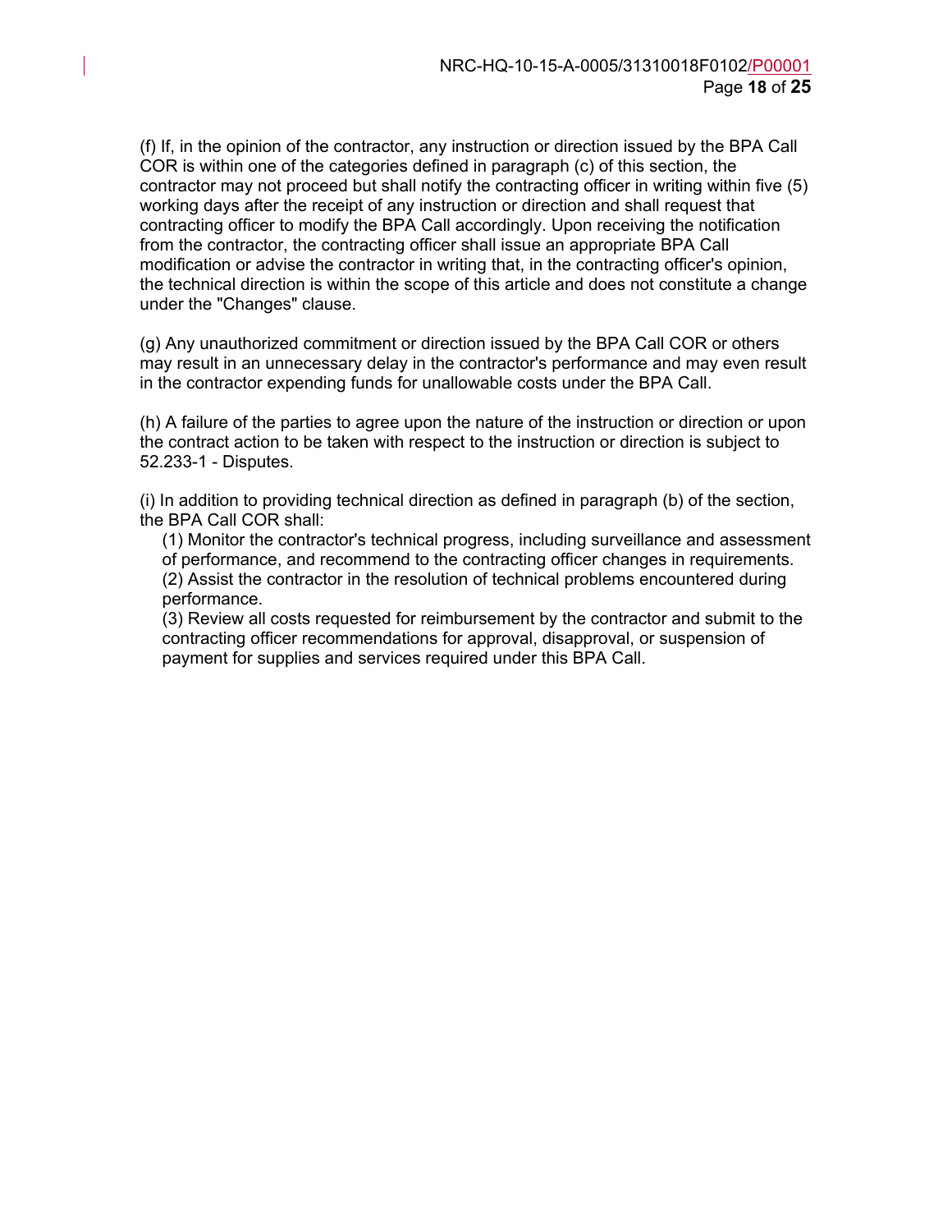(f) If, in the opinion of the contractor, any instruction or direction issued by the BPA Call COR is within one of the categories defined in paragraph (c) of this section, the contractor may not proceed but shall notify the contracting officer in writing within five (5) working days after the receipt of any instruction or direction and shall request that contracting officer to modify the BPA Call accordingly. Upon receiving the notification from the contractor, the contracting officer shall issue an appropriate BPA Call modification or advise the contractor in writing that, in the contracting officer's opinion, the technical direction is within the scope of this article and does not constitute a change under the "Changes" clause.

(g) Any unauthorized commitment or direction issued by the BPA Call COR or others may result in an unnecessary delay in the contractor's performance and may even result in the contractor expending funds for unallowable costs under the BPA Call.

(h) A failure of the parties to agree upon the nature of the instruction or direction or upon the contract action to be taken with respect to the instruction or direction is subject to 52.233-1 - Disputes.

(i) In addition to providing technical direction as defined in paragraph (b) of the section, the BPA Call COR shall:

(1) Monitor the contractor's technical progress, including surveillance and assessment of performance, and recommend to the contracting officer changes in requirements. (2) Assist the contractor in the resolution of technical problems encountered during performance.

(3) Review all costs requested for reimbursement by the contractor and submit to the contracting officer recommendations for approval, disapproval, or suspension of payment for supplies and services required under this BPA Call.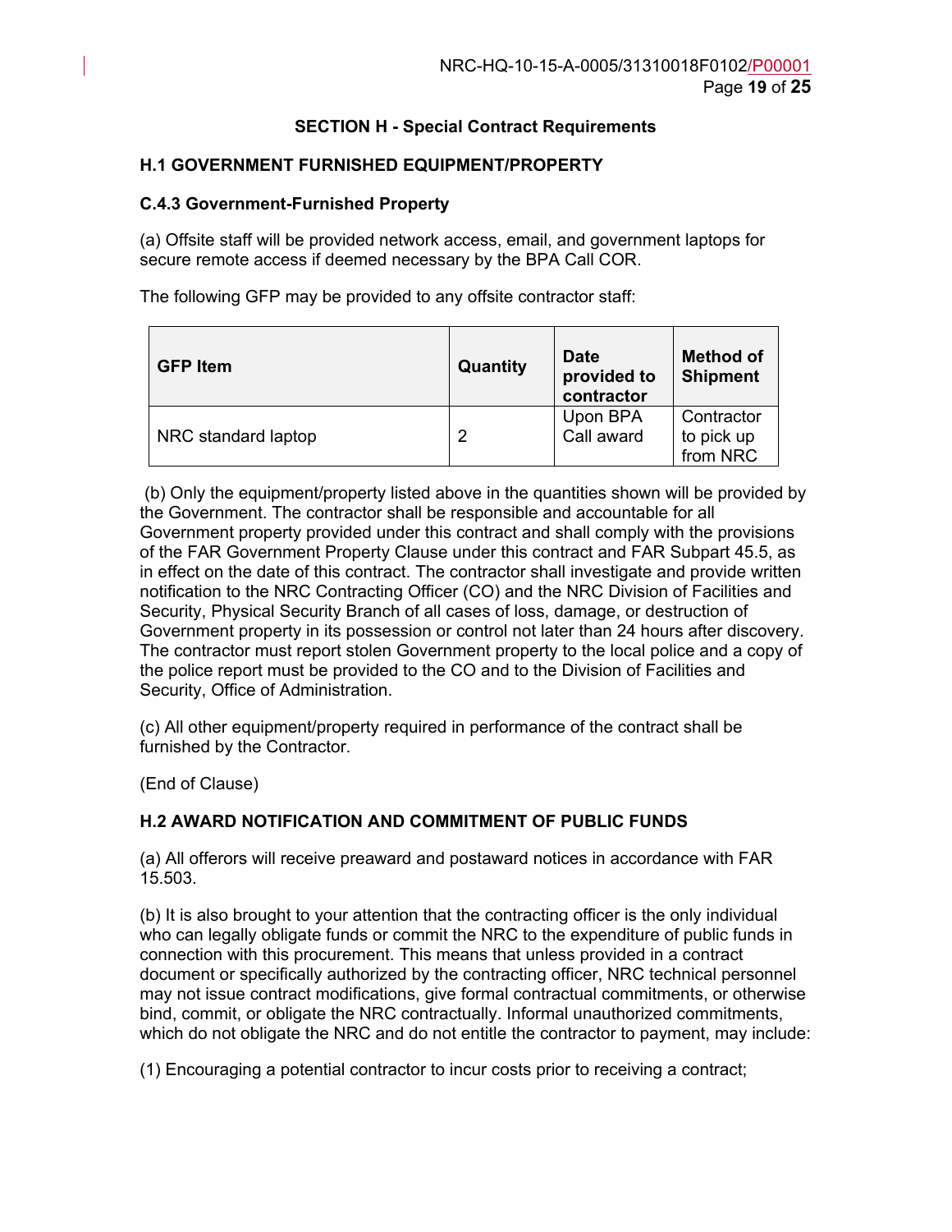## **SECTION H - Special Contract Requirements**

## **H.1 GOVERNMENT FURNISHED EQUIPMENT/PROPERTY**

#### **C.4.3 Government-Furnished Property**

(a) Offsite staff will be provided network access, email, and government laptops for secure remote access if deemed necessary by the BPA Call COR.

The following GFP may be provided to any offsite contractor staff:

| <b>GFP</b> Item     | Quantity | <b>Date</b><br>provided to<br>contractor | <b>Method of</b><br><b>Shipment</b>  |
|---------------------|----------|------------------------------------------|--------------------------------------|
| NRC standard laptop | 2        | Upon BPA<br>Call award                   | Contractor<br>to pick up<br>from NRC |

(b) Only the equipment/property listed above in the quantities shown will be provided by the Government. The contractor shall be responsible and accountable for all Government property provided under this contract and shall comply with the provisions of the FAR Government Property Clause under this contract and FAR Subpart 45.5, as in effect on the date of this contract. The contractor shall investigate and provide written notification to the NRC Contracting Officer (CO) and the NRC Division of Facilities and Security, Physical Security Branch of all cases of loss, damage, or destruction of Government property in its possession or control not later than 24 hours after discovery. The contractor must report stolen Government property to the local police and a copy of the police report must be provided to the CO and to the Division of Facilities and Security, Office of Administration.

(c) All other equipment/property required in performance of the contract shall be furnished by the Contractor.

(End of Clause)

## **H.2 AWARD NOTIFICATION AND COMMITMENT OF PUBLIC FUNDS**

(a) All offerors will receive preaward and postaward notices in accordance with FAR 15.503.

(b) It is also brought to your attention that the contracting officer is the only individual who can legally obligate funds or commit the NRC to the expenditure of public funds in connection with this procurement. This means that unless provided in a contract document or specifically authorized by the contracting officer, NRC technical personnel may not issue contract modifications, give formal contractual commitments, or otherwise bind, commit, or obligate the NRC contractually. Informal unauthorized commitments, which do not obligate the NRC and do not entitle the contractor to payment, may include:

(1) Encouraging a potential contractor to incur costs prior to receiving a contract;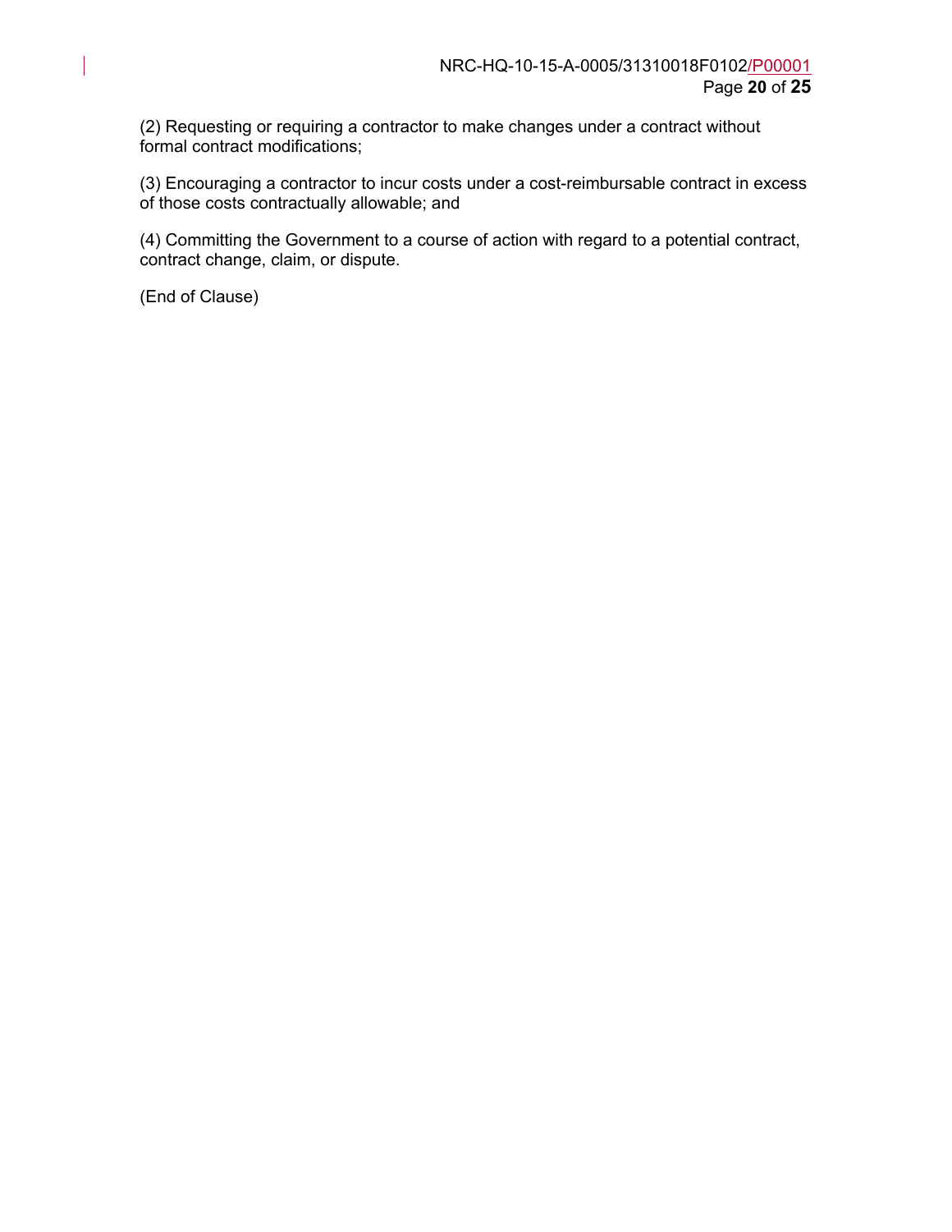(2) Requesting or requiring a contractor to make changes under a contract without formal contract modifications;

(3) Encouraging a contractor to incur costs under a cost-reimbursable contract in excess of those costs contractually allowable; and

(4) Committing the Government to a course of action with regard to a potential contract, contract change, claim, or dispute.

(End of Clause)

 $\overline{\phantom{a}}$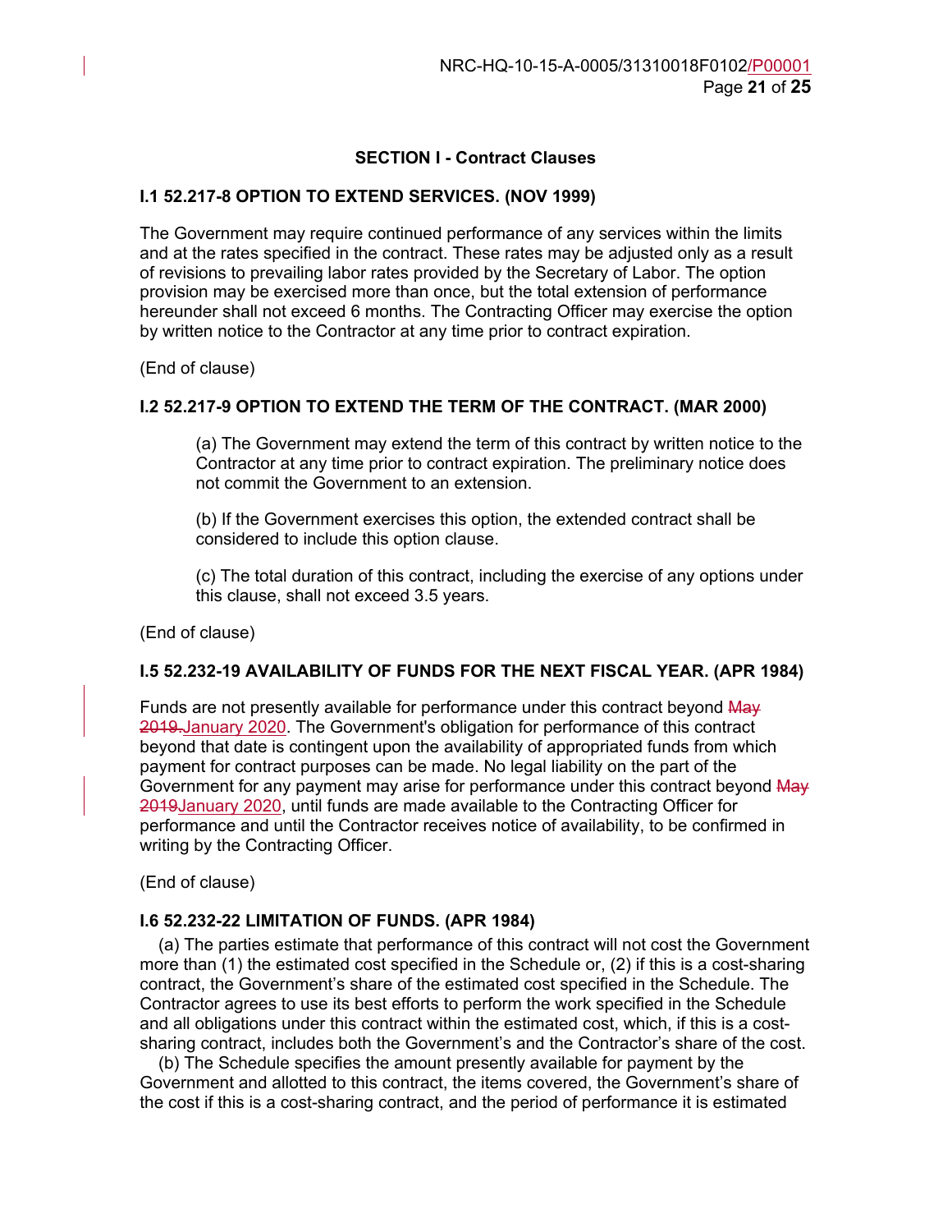### **SECTION I - Contract Clauses**

#### **I.1 52.217-8 OPTION TO EXTEND SERVICES. (NOV 1999)**

The Government may require continued performance of any services within the limits and at the rates specified in the contract. These rates may be adjusted only as a result of revisions to prevailing labor rates provided by the Secretary of Labor. The option provision may be exercised more than once, but the total extension of performance hereunder shall not exceed 6 months. The Contracting Officer may exercise the option by written notice to the Contractor at any time prior to contract expiration.

(End of clause)

#### **I.2 52.217-9 OPTION TO EXTEND THE TERM OF THE CONTRACT. (MAR 2000)**

(a) The Government may extend the term of this contract by written notice to the Contractor at any time prior to contract expiration. The preliminary notice does not commit the Government to an extension.

(b) If the Government exercises this option, the extended contract shall be considered to include this option clause.

(c) The total duration of this contract, including the exercise of any options under this clause, shall not exceed 3.5 years.

(End of clause)

#### **I.5 52.232-19 AVAILABILITY OF FUNDS FOR THE NEXT FISCAL YEAR. (APR 1984)**

Funds are not presently available for performance under this contract beyond May 2019.January 2020. The Government's obligation for performance of this contract beyond that date is contingent upon the availability of appropriated funds from which payment for contract purposes can be made. No legal liability on the part of the Government for any payment may arise for performance under this contract beyond May 2019January 2020, until funds are made available to the Contracting Officer for performance and until the Contractor receives notice of availability, to be confirmed in writing by the Contracting Officer.

(End of clause)

#### **I.6 52.232-22 LIMITATION OF FUNDS. (APR 1984)**

(a) The parties estimate that performance of this contract will not cost the Government more than (1) the estimated cost specified in the Schedule or, (2) if this is a cost-sharing contract, the Government's share of the estimated cost specified in the Schedule. The Contractor agrees to use its best efforts to perform the work specified in the Schedule and all obligations under this contract within the estimated cost, which, if this is a costsharing contract, includes both the Government's and the Contractor's share of the cost.

(b) The Schedule specifies the amount presently available for payment by the Government and allotted to this contract, the items covered, the Government's share of the cost if this is a cost-sharing contract, and the period of performance it is estimated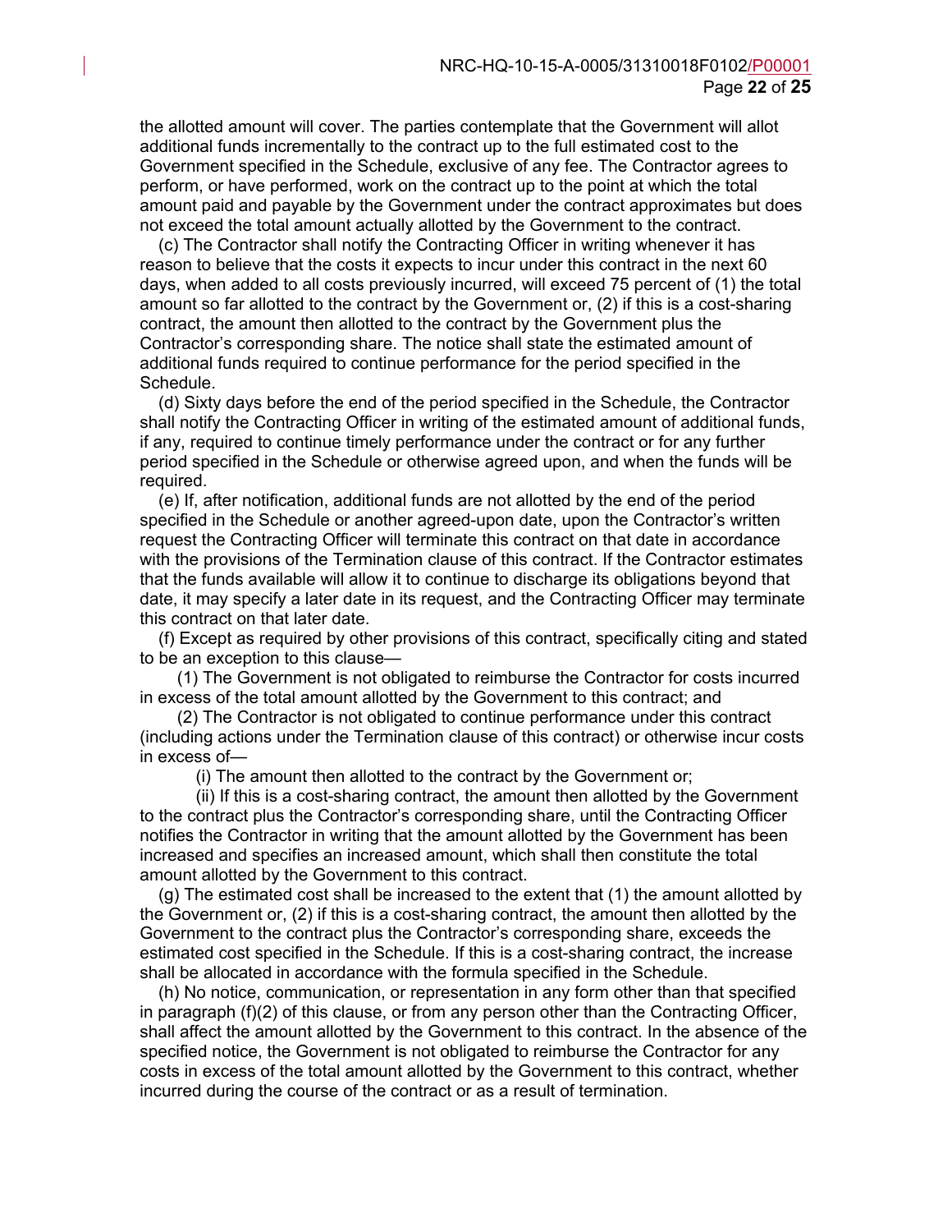the allotted amount will cover. The parties contemplate that the Government will allot additional funds incrementally to the contract up to the full estimated cost to the Government specified in the Schedule, exclusive of any fee. The Contractor agrees to perform, or have performed, work on the contract up to the point at which the total amount paid and payable by the Government under the contract approximates but does not exceed the total amount actually allotted by the Government to the contract.

(c) The Contractor shall notify the Contracting Officer in writing whenever it has reason to believe that the costs it expects to incur under this contract in the next 60 days, when added to all costs previously incurred, will exceed 75 percent of (1) the total amount so far allotted to the contract by the Government or, (2) if this is a cost-sharing contract, the amount then allotted to the contract by the Government plus the Contractor's corresponding share. The notice shall state the estimated amount of additional funds required to continue performance for the period specified in the Schedule.

(d) Sixty days before the end of the period specified in the Schedule, the Contractor shall notify the Contracting Officer in writing of the estimated amount of additional funds, if any, required to continue timely performance under the contract or for any further period specified in the Schedule or otherwise agreed upon, and when the funds will be required.

(e) If, after notification, additional funds are not allotted by the end of the period specified in the Schedule or another agreed-upon date, upon the Contractor's written request the Contracting Officer will terminate this contract on that date in accordance with the provisions of the Termination clause of this contract. If the Contractor estimates that the funds available will allow it to continue to discharge its obligations beyond that date, it may specify a later date in its request, and the Contracting Officer may terminate this contract on that later date.

(f) Except as required by other provisions of this contract, specifically citing and stated to be an exception to this clause—

(1) The Government is not obligated to reimburse the Contractor for costs incurred in excess of the total amount allotted by the Government to this contract; and

(2) The Contractor is not obligated to continue performance under this contract (including actions under the Termination clause of this contract) or otherwise incur costs in excess of—

(i) The amount then allotted to the contract by the Government or;

(ii) If this is a cost-sharing contract, the amount then allotted by the Government to the contract plus the Contractor's corresponding share, until the Contracting Officer notifies the Contractor in writing that the amount allotted by the Government has been increased and specifies an increased amount, which shall then constitute the total amount allotted by the Government to this contract.

(g) The estimated cost shall be increased to the extent that (1) the amount allotted by the Government or, (2) if this is a cost-sharing contract, the amount then allotted by the Government to the contract plus the Contractor's corresponding share, exceeds the estimated cost specified in the Schedule. If this is a cost-sharing contract, the increase shall be allocated in accordance with the formula specified in the Schedule.

(h) No notice, communication, or representation in any form other than that specified in paragraph (f)(2) of this clause, or from any person other than the Contracting Officer, shall affect the amount allotted by the Government to this contract. In the absence of the specified notice, the Government is not obligated to reimburse the Contractor for any costs in excess of the total amount allotted by the Government to this contract, whether incurred during the course of the contract or as a result of termination.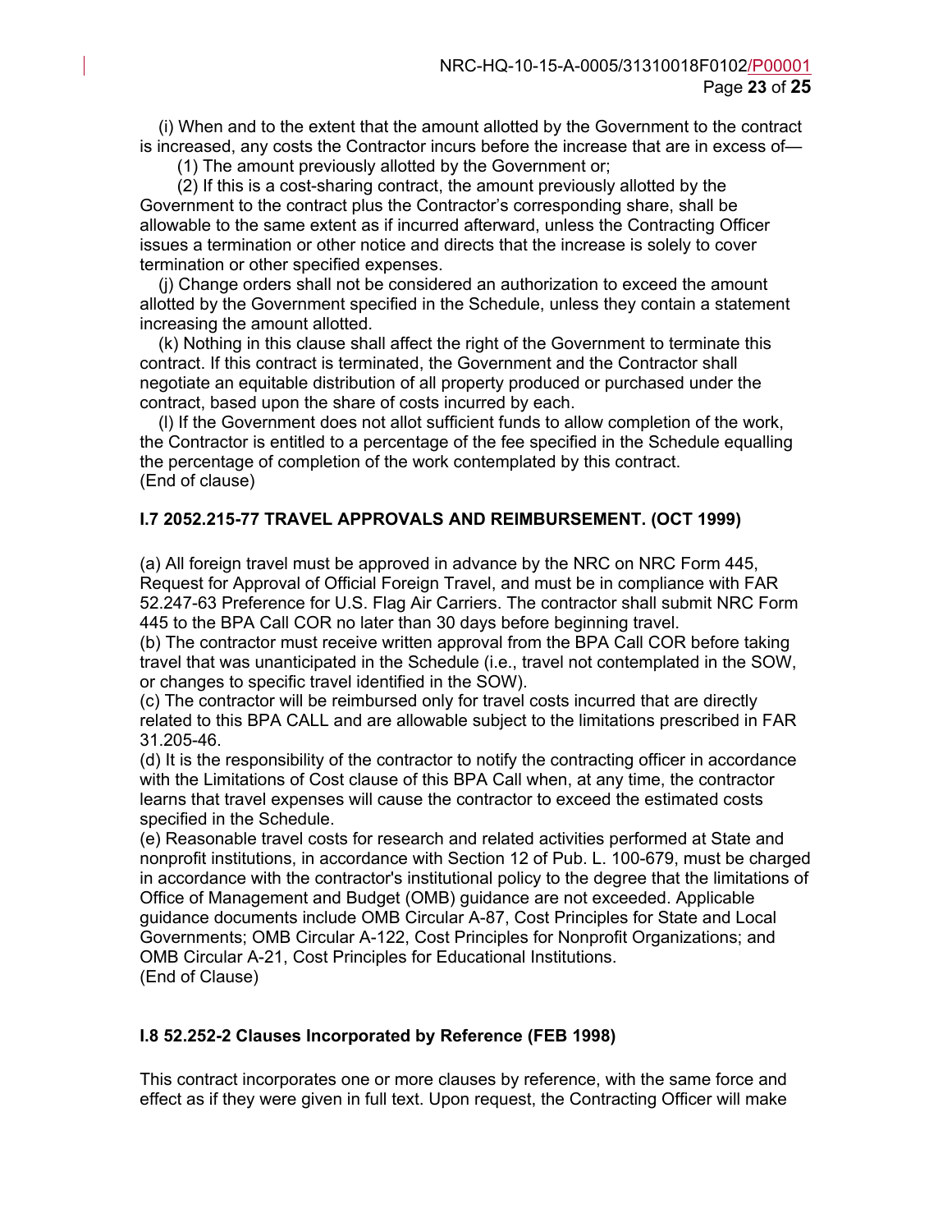(i) When and to the extent that the amount allotted by the Government to the contract is increased, any costs the Contractor incurs before the increase that are in excess of—

(1) The amount previously allotted by the Government or;

(2) If this is a cost-sharing contract, the amount previously allotted by the Government to the contract plus the Contractor's corresponding share, shall be allowable to the same extent as if incurred afterward, unless the Contracting Officer issues a termination or other notice and directs that the increase is solely to cover termination or other specified expenses.

(j) Change orders shall not be considered an authorization to exceed the amount allotted by the Government specified in the Schedule, unless they contain a statement increasing the amount allotted.

(k) Nothing in this clause shall affect the right of the Government to terminate this contract. If this contract is terminated, the Government and the Contractor shall negotiate an equitable distribution of all property produced or purchased under the contract, based upon the share of costs incurred by each.

(l) If the Government does not allot sufficient funds to allow completion of the work, the Contractor is entitled to a percentage of the fee specified in the Schedule equalling the percentage of completion of the work contemplated by this contract. (End of clause)

#### **I.7 2052.215-77 TRAVEL APPROVALS AND REIMBURSEMENT. (OCT 1999)**

(a) All foreign travel must be approved in advance by the NRC on NRC Form 445, Request for Approval of Official Foreign Travel, and must be in compliance with FAR 52.247-63 Preference for U.S. Flag Air Carriers. The contractor shall submit NRC Form 445 to the BPA Call COR no later than 30 days before beginning travel.

(b) The contractor must receive written approval from the BPA Call COR before taking travel that was unanticipated in the Schedule (i.e., travel not contemplated in the SOW, or changes to specific travel identified in the SOW).

(c) The contractor will be reimbursed only for travel costs incurred that are directly related to this BPA CALL and are allowable subject to the limitations prescribed in FAR 31.205-46.

(d) It is the responsibility of the contractor to notify the contracting officer in accordance with the Limitations of Cost clause of this BPA Call when, at any time, the contractor learns that travel expenses will cause the contractor to exceed the estimated costs specified in the Schedule.

(e) Reasonable travel costs for research and related activities performed at State and nonprofit institutions, in accordance with Section 12 of Pub. L. 100-679, must be charged in accordance with the contractor's institutional policy to the degree that the limitations of Office of Management and Budget (OMB) guidance are not exceeded. Applicable guidance documents include OMB Circular A-87, Cost Principles for State and Local Governments; OMB Circular A-122, Cost Principles for Nonprofit Organizations; and OMB Circular A-21, Cost Principles for Educational Institutions. (End of Clause)

#### **I.8 52.252-2 Clauses Incorporated by Reference (FEB 1998)**

This contract incorporates one or more clauses by reference, with the same force and effect as if they were given in full text. Upon request, the Contracting Officer will make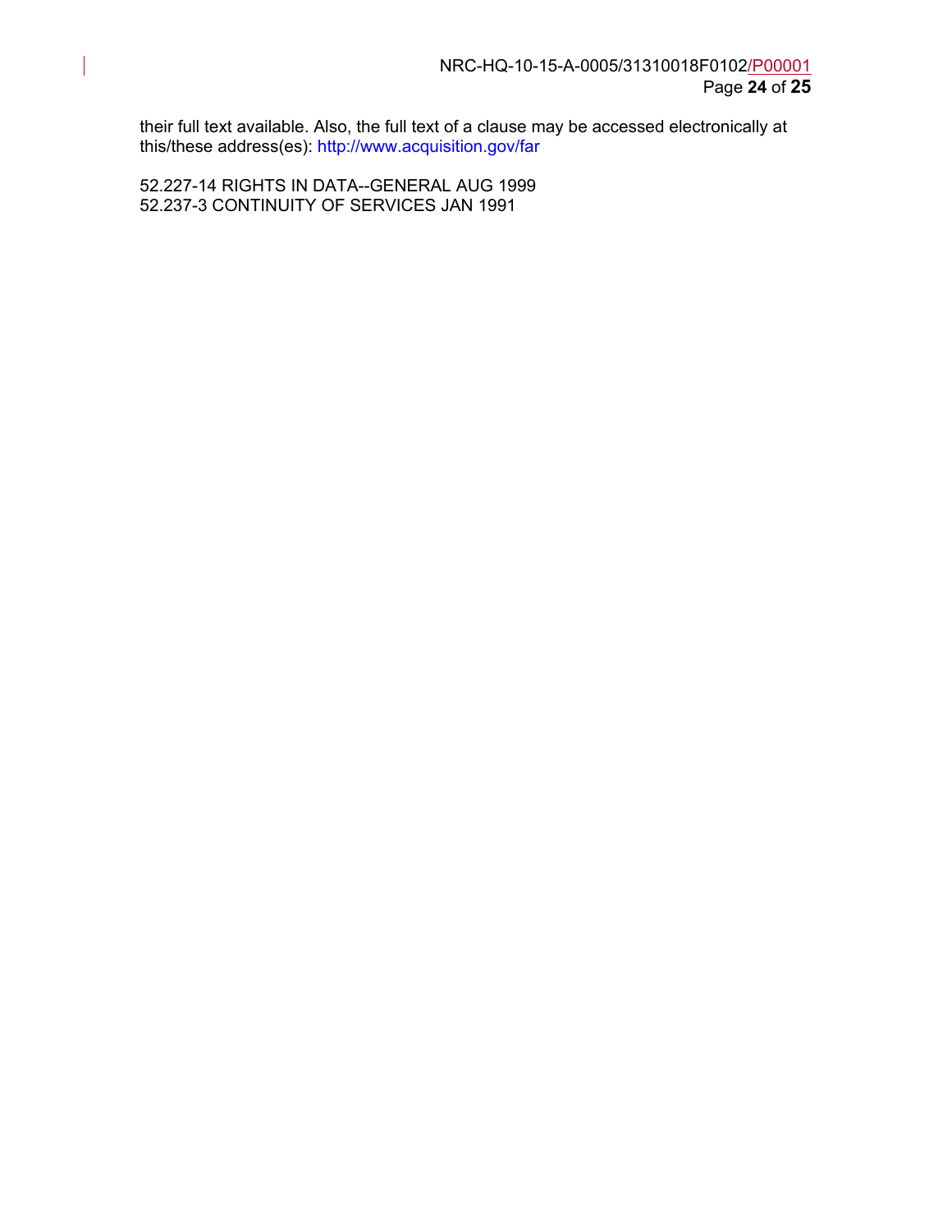their full text available. Also, the full text of a clause may be accessed electronically at this/these address(es): http://www.acquisition.gov/far

52.227-14 RIGHTS IN DATA--GENERAL AUG 1999 52.237-3 CONTINUITY OF SERVICES JAN 1991

 $\overline{\phantom{a}}$